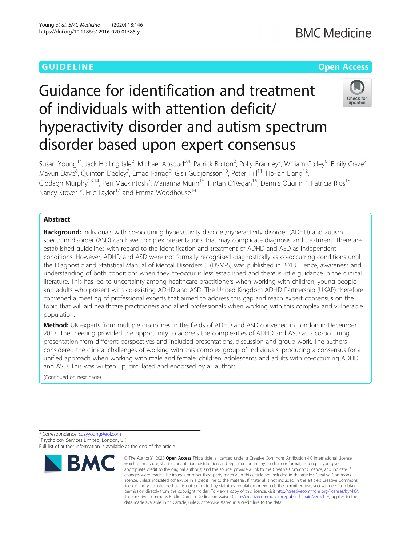## **GUIDELINE** CONTROL CONTROL CONTROL CONTROL CONTROL CONTROL CONTROL CONTROL CONTROL CONTROL CONTROL CONTROL CONTROL CONTROL CONTROL CONTROL CONTROL CONTROL CONTROL CONTROL CONTROL CONTROL CONTROL CONTROL CONTROL CONTROL CO

# Guidance for identification and treatment of individuals with attention deficit/ hyperactivity disorder and autism spectrum disorder based upon expert consensus



Susan Young<sup>1\*</sup>, Jack Hollingdale<sup>2</sup>, Michael Absoud<sup>3,4</sup>, Patrick Bolton<sup>2</sup>, Polly Branney<sup>5</sup>, William Colley<sup>6</sup>, Emily Craze<sup>7</sup> , Mayuri Dave<sup>8</sup>, Quinton Deeley<sup>7</sup>, Emad Farrag<sup>9</sup>, Gisli Gudjonsson<sup>10</sup>, Peter Hill<sup>11</sup>, Ho-lan Liang<sup>12</sup>, Clodagh Murphy<sup>13,14</sup>, Peri Mackintosh<sup>7</sup>, Marianna Murin<sup>15</sup>, Fintan O'Regan<sup>16</sup>, Dennis Ougrin<sup>17</sup>, Patricia Rios<sup>18</sup>, Nancy Stover<sup>19</sup>, Eric Taylor<sup>17</sup> and Emma Woodhouse<sup>14</sup>

### Abstract

**Background:** Individuals with co-occurring hyperactivity disorder/hyperactivity disorder (ADHD) and autism spectrum disorder (ASD) can have complex presentations that may complicate diagnosis and treatment. There are established guidelines with regard to the identification and treatment of ADHD and ASD as independent conditions. However, ADHD and ASD were not formally recognised diagnostically as co-occurring conditions until the Diagnostic and Statistical Manual of Mental Disorders 5 (DSM-5) was published in 2013. Hence, awareness and understanding of both conditions when they co-occur is less established and there is little guidance in the clinical literature. This has led to uncertainty among healthcare practitioners when working with children, young people and adults who present with co-existing ADHD and ASD. The United Kingdom ADHD Partnership (UKAP) therefore convened a meeting of professional experts that aimed to address this gap and reach expert consensus on the topic that will aid healthcare practitioners and allied professionals when working with this complex and vulnerable population.

**Method:** UK experts from multiple disciplines in the fields of ADHD and ASD convened in London in December 2017. The meeting provided the opportunity to address the complexities of ADHD and ASD as a co-occurring presentation from different perspectives and included presentations, discussion and group work. The authors considered the clinical challenges of working with this complex group of individuals, producing a consensus for a unified approach when working with male and female, children, adolescents and adults with co-occurring ADHD and ASD. This was written up, circulated and endorsed by all authors.

(Continued on next page)

\* Correspondence: [suzyyoung@aol.com](mailto:suzyyoung@aol.com) <sup>1</sup> <sup>1</sup>Psychology Services Limited, London, UK Full list of author information is available at the end of the article



<sup>©</sup> The Author(s), 2020 **Open Access** This article is licensed under a Creative Commons Attribution 4.0 International License, which permits use, sharing, adaptation, distribution and reproduction in any medium or format, as long as you give appropriate credit to the original author(s) and the source, provide a link to the Creative Commons licence, and indicate if changes were made. The images or other third party material in this article are included in the article's Creative Commons licence, unless indicated otherwise in a credit line to the material. If material is not included in the article's Creative Commons licence and your intended use is not permitted by statutory regulation or exceeds the permitted use, you will need to obtain permission directly from the copyright holder. To view a copy of this licence, visit [http://creativecommons.org/licenses/by/4.0/.](http://creativecommons.org/licenses/by/4.0/) The Creative Commons Public Domain Dedication waiver [\(http://creativecommons.org/publicdomain/zero/1.0/](http://creativecommons.org/publicdomain/zero/1.0/)) applies to the data made available in this article, unless otherwise stated in a credit line to the data.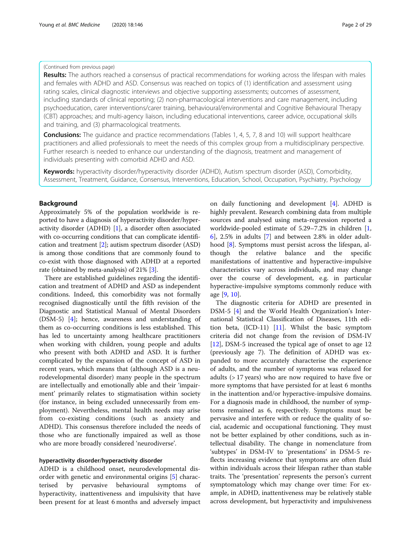#### <span id="page-1-0"></span>(Continued from previous page)

Results: The authors reached a consensus of practical recommendations for working across the lifespan with males and females with ADHD and ASD. Consensus was reached on topics of (1) identification and assessment using rating scales, clinical diagnostic interviews and objective supporting assessments; outcomes of assessment, including standards of clinical reporting; (2) non-pharmacological interventions and care management, including psychoeducation, carer interventions/carer training, behavioural/environmental and Cognitive Behavioural Therapy (CBT) approaches; and multi-agency liaison, including educational interventions, career advice, occupational skills and training, and (3) pharmacological treatments.

**Conclusions:** The guidance and practice recommendations (Tables 1, 4, 5, 7, 8 and 10) will support healthcare practitioners and allied professionals to meet the needs of this complex group from a multidisciplinary perspective. Further research is needed to enhance our understanding of the diagnosis, treatment and management of individuals presenting with comorbid ADHD and ASD.

Keywords: hyperactivity disorder/hyperactivity disorder (ADHD), Autism spectrum disorder (ASD), Comorbidity, Assessment, Treatment, Guidance, Consensus, Interventions, Education, School, Occupation, Psychiatry, Psychology

#### Background

Approximately 5% of the population worldwide is reported to have a diagnosis of hyperactivity disorder/hyperactivity disorder (ADHD) [\[1](#page-26-0)], a disorder often associated with co-occurring conditions that can complicate identification and treatment [[2\]](#page-26-0); autism spectrum disorder (ASD) is among those conditions that are commonly found to co-exist with those diagnosed with ADHD at a reported rate (obtained by meta-analysis) of 21% [\[3\]](#page-26-0).

There are established guidelines regarding the identification and treatment of ADHD and ASD as independent conditions. Indeed, this comorbidity was not formally recognised diagnostically until the fifth revision of the Diagnostic and Statistical Manual of Mental Disorders (DSM-5) [[4\]](#page-26-0); hence, awareness and understanding of them as co-occurring conditions is less established. This has led to uncertainty among healthcare practitioners when working with children, young people and adults who present with both ADHD and ASD. It is further complicated by the expansion of the concept of ASD in recent years, which means that (although ASD is a neurodevelopmental disorder) many people in the spectrum are intellectually and emotionally able and their 'impairment' primarily relates to stigmatisation within society (for instance, in being excluded unnecessarily from employment). Nevertheless, mental health needs may arise from co-existing conditions (such as anxiety and ADHD). This consensus therefore included the needs of those who are functionally impaired as well as those who are more broadly considered 'neurodiverse'.

#### hyperactivity disorder/hyperactivity disorder

ADHD is a childhood onset, neurodevelopmental disorder with genetic and environmental origins [\[5](#page-26-0)] characterised by pervasive behavioural symptoms of hyperactivity, inattentiveness and impulsivity that have been present for at least 6 months and adversely impact

on daily functioning and development [\[4](#page-26-0)]. ADHD is highly prevalent. Research combining data from multiple sources and analysed using meta-regression reported a worldwide-pooled estimate of 5.29–7.2% in children [\[1](#page-26-0), [6\]](#page-26-0), 2.5% in adults [[7](#page-26-0)] and between 2.8% in older adulthood [\[8](#page-26-0)]. Symptoms must persist across the lifespan, although the relative balance and the specific manifestations of inattentive and hyperactive-impulsive characteristics vary across individuals, and may change over the course of development, e.g. in particular hyperactive-impulsive symptoms commonly reduce with age [\[9](#page-26-0), [10](#page-26-0)].

The diagnostic criteria for ADHD are presented in DSM-5 [[4\]](#page-26-0) and the World Health Organization's International Statistical Classification of Diseases, 11th edition beta, (ICD-11) [\[11](#page-26-0)]. Whilst the basic symptom criteria did not change from the revision of DSM-IV [[12\]](#page-26-0), DSM-5 increased the typical age of onset to age 12 (previously age 7). The definition of ADHD was expanded to more accurately characterise the experience of adults, and the number of symptoms was relaxed for adults (> 17 years) who are now required to have five or more symptoms that have persisted for at least 6 months in the inattention and/or hyperactive-impulsive domains. For a diagnosis made in childhood, the number of symptoms remained as 6, respectively. Symptoms must be pervasive and interfere with or reduce the quality of social, academic and occupational functioning. They must not be better explained by other conditions, such as intellectual disability. The change in nomenclature from 'subtypes' in DSM-IV to 'presentations' in DSM-5 reflects increasing evidence that symptoms are often fluid within individuals across their lifespan rather than stable traits. The 'presentation' represents the person's current symptomatology which may change over time: For example, in ADHD, inattentiveness may be relatively stable across development, but hyperactivity and impulsiveness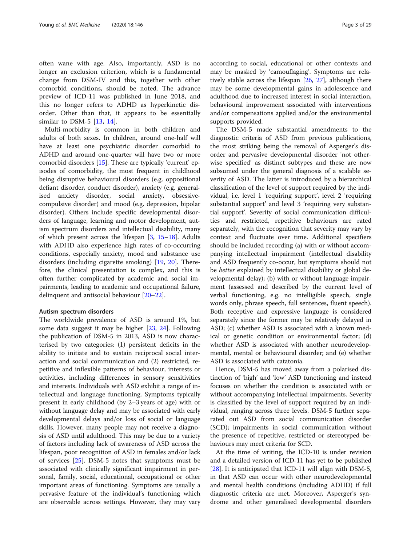often wane with age. Also, importantly, ASD is no longer an exclusion criterion, which is a fundamental change from DSM-IV and this, together with other comorbid conditions, should be noted. The advance preview of ICD-11 was published in June 2018, and this no longer refers to ADHD as hyperkinetic disorder. Other than that, it appears to be essentially similar to DSM-5 [[13,](#page-26-0) [14\]](#page-26-0).

Multi-morbidity is common in both children and adults of both sexes. In children, around one-half will have at least one psychiatric disorder comorbid to ADHD and around one-quarter will have two or more comorbid disorders [[15\]](#page-26-0). These are typically 'current' episodes of comorbidity, the most frequent in childhood being disruptive behavioural disorders (e.g. oppositional defiant disorder, conduct disorder), anxiety (e.g. generalised anxiety disorder, social anxiety, obsessivecompulsive disorder) and mood (e.g. depression, bipolar disorder). Others include specific developmental disorders of language, learning and motor development, autism spectrum disorders and intellectual disability, many of which present across the lifespan  $[3, 15-18]$  $[3, 15-18]$  $[3, 15-18]$  $[3, 15-18]$  $[3, 15-18]$ . Adults with ADHD also experience high rates of co-occurring conditions, especially anxiety, mood and substance use disorders (including cigarette smoking) [\[19](#page-26-0), [20](#page-26-0)]. Therefore, the clinical presentation is complex, and this is often further complicated by academic and social impairments, leading to academic and occupational failure, delinquent and antisocial behaviour [\[20](#page-26-0)–[22\]](#page-26-0).

#### Autism spectrum disorders

The worldwide prevalence of ASD is around 1%, but some data suggest it may be higher [\[23](#page-26-0), [24](#page-26-0)]. Following the publication of DSM-5 in 2013, ASD is now characterised by two categories: (1) persistent deficits in the ability to initiate and to sustain reciprocal social interaction and social communication and (2) restricted, repetitive and inflexible patterns of behaviour, interests or activities, including differences in sensory sensitivities and interests. Individuals with ASD exhibit a range of intellectual and language functioning. Symptoms typically present in early childhood (by 2–3 years of age) with or without language delay and may be associated with early developmental delays and/or loss of social or language skills. However, many people may not receive a diagnosis of ASD until adulthood. This may be due to a variety of factors including lack of awareness of ASD across the lifespan, poor recognition of ASD in females and/or lack of services [\[25](#page-26-0)]. DSM-5 notes that symptoms must be associated with clinically significant impairment in personal, family, social, educational, occupational or other important areas of functioning. Symptoms are usually a pervasive feature of the individual's functioning which are observable across settings. However, they may vary according to social, educational or other contexts and may be masked by 'camouflaging'. Symptoms are relatively stable across the lifespan [\[26](#page-26-0), [27](#page-26-0)], although there may be some developmental gains in adolescence and adulthood due to increased interest in social interaction, behavioural improvement associated with interventions and/or compensations applied and/or the environmental supports provided.

The DSM-5 made substantial amendments to the diagnostic criteria of ASD from previous publications, the most striking being the removal of Asperger's disorder and pervasive developmental disorder 'not otherwise specified' as distinct subtypes and these are now subsumed under the general diagnosis of a scalable severity of ASD. The latter is introduced by a hierarchical classification of the level of support required by the individual, i.e. level 1 'requiring support', level 2 'requiring substantial support' and level 3 'requiring very substantial support'. Severity of social communication difficulties and restricted, repetitive behaviours are rated separately, with the recognition that severity may vary by context and fluctuate over time. Additional specifiers should be included recording (a) with or without accompanying intellectual impairment (intellectual disability and ASD frequently co-occur, but symptoms should not be better explained by intellectual disability or global developmental delay); (b) with or without language impairment (assessed and described by the current level of verbal functioning, e.g. no intelligible speech, single words only, phrase speech, full sentences, fluent speech). Both receptive and expressive language is considered separately since the former may be relatively delayed in ASD; (c) whether ASD is associated with a known medical or genetic condition or environmental factor; (d) whether ASD is associated with another neurodevelopmental, mental or behavioural disorder; and (e) whether ASD is associated with catatonia.

Hence, DSM-5 has moved away from a polarised distinction of 'high' and 'low' ASD functioning and instead focuses on whether the condition is associated with or without accompanying intellectual impairments. Severity is classified by the level of support required by an individual, ranging across three levels. DSM-5 further separated out ASD from social communication disorder (SCD); impairments in social communication without the presence of repetitive, restricted or stereotyped behaviours may meet criteria for SCD.

At the time of writing, the ICD-10 is under revision and a detailed version of ICD-11 has yet to be published [[28\]](#page-26-0). It is anticipated that ICD-11 will align with DSM-5, in that ASD can occur with other neurodevelopmental and mental health conditions (including ADHD) if full diagnostic criteria are met. Moreover, Asperger's syndrome and other generalised developmental disorders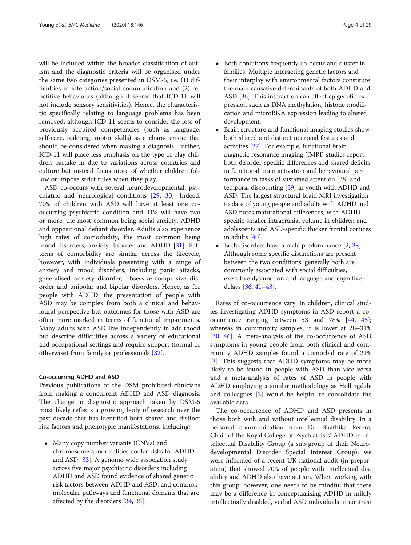will be included within the broader classification of autism and the diagnostic criteria will be organised under the same two categories presented in DSM-5, i.e. (1) difficulties in interaction/social communication and (2) repetitive behaviours (although it seems that ICD-11 will not include sensory sensitivities). Hence, the characteristic specifically relating to language problems has been removed, although ICD-11 seems to consider the loss of previously acquired competencies (such as language, self-care, toileting, motor skills) as a characteristic that should be considered when making a diagnosis. Further, ICD-11 will place less emphasis on the type of play children partake in due to variations across countries and culture but instead focus more of whether children follow or impose strict rules when they play.

ASD co-occurs with several neurodevelopmental, psychiatric and neurological conditions [[29,](#page-26-0) [30](#page-26-0)]. Indeed, 70% of children with ASD will have at least one cooccurring psychiatric condition and 41% will have two or more, the most common being social anxiety, ADHD and oppositional defiant disorder. Adults also experience high rates of comorbidity, the most common being mood disorders, anxiety disorder and ADHD [[31](#page-26-0)]. Patterns of comorbidity are similar across the lifecycle, however, with individuals presenting with a range of anxiety and mood disorders, including panic attacks, generalised anxiety disorder, obsessive-compulsive disorder and unipolar and bipolar disorders. Hence, as for people with ADHD, the presentation of people with ASD may be complex from both a clinical and behavioural perspective but outcomes for those with ASD are often more marked in terms of functional impairments. Many adults with ASD live independently in adulthood but describe difficulties across a variety of educational and occupational settings and require support (formal or otherwise) from family or professionals [\[32](#page-26-0)].

#### Co-occurring ADHD and ASD

Previous publications of the DSM prohibited clinicians from making a concurrent ADHD and ASD diagnosis. The change in diagnostic approach taken by DSM-5 most likely reflects a growing body of research over the past decade that has identified both shared and distinct risk factors and phenotypic manifestations, including:

• Many copy number variants (CNVs) and chromosome abnormalities confer risks for ADHD and ASD [\[33\]](#page-26-0). A genome-wide association study across five major psychiatric disorders including ADHD and ASD found evidence of shared genetic risk factors between ADHD and ASD, and common molecular pathways and functional domains that are affected by the disorders [[34](#page-26-0), [35\]](#page-26-0).

- Both conditions frequently co-occur and cluster in families. Multiple interacting genetic factors and their interplay with environmental factors constitute the main causative determinants of both ADHD and ASD [[36](#page-26-0)]. This interaction can affect epigenetic expression such as DNA methylation, histone modification and microRNA expression leading to altered development.
- Brain structure and functional imaging studies show both shared and distinct neuronal features and activities [[37](#page-26-0)]. For example, functional brain magnetic resonance imaging (fMRI) studies report both disorder-specific differences and shared deficits in functional brain activation and behavioural performance in tasks of sustained attention [[38](#page-26-0)] and temporal discounting [[39](#page-26-0)] in youth with ADHD and ASD. The largest structural brain MRI investigation to date of young people and adults with ADHD and ASD notes maturational differences, with ADHDspecific smaller intracranial volume in children and adolescents and ASD-specific thicker frontal cortices in adults [\[40](#page-26-0)].
- Both disorders have a male predominance [[2](#page-26-0), [38](#page-26-0)]. Although some specific distinctions are present between the two conditions, generally both are commonly associated with social difficulties, executive dysfunction and language and cognitive delays [\[36,](#page-26-0) [41](#page-26-0)–[43\]](#page-27-0).

Rates of co-occurrence vary. In children, clinical studies investigating ADHD symptoms in ASD report a cooccurrence ranging between 53 and 78% [[44,](#page-27-0) [45](#page-27-0)]; whereas in community samples, it is lower at 28–31% [[30,](#page-26-0) [46](#page-27-0)]. A meta-analysis of the co-occurrence of ASD symptoms in young people from both clinical and community ADHD samples found a comorbid rate of 21% [[3\]](#page-26-0). This suggests that ADHD symptoms may be more likely to be found in people with ASD than vice versa and a meta-analysis of rates of ASD in people with ADHD employing a similar methodology as Hollingdale and colleagues [\[3](#page-26-0)] would be helpful to consolidate the available data.

The co-occurrence of ADHD and ASD presents in those both with and without intellectual disability. In a personal communication from Dr. Bhathika Perera, Chair of the Royal College of Psychiatrists' ADHD in Intellectual Disability Group (a sub-group of their Neurodevelopmental Disorder Special Interest Group), we were informed of a recent UK national audit (in preparation) that showed 70% of people with intellectual disability and ADHD also have autism. When working with this group, however, one needs to be mindful that there may be a difference in conceptualising ADHD in mildly intellectually disabled, verbal ASD individuals in contrast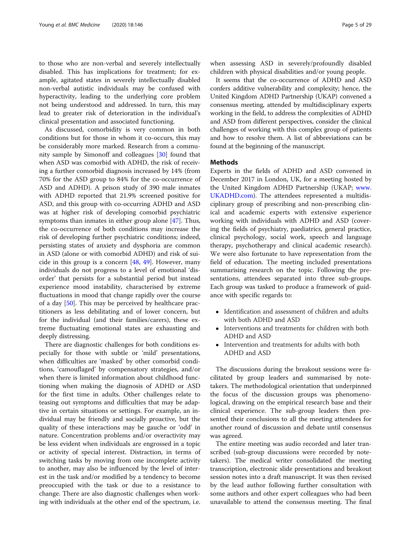to those who are non-verbal and severely intellectually disabled. This has implications for treatment; for example, agitated states in severely intellectually disabled non-verbal autistic individuals may be confused with hyperactivity, leading to the underlying core problem not being understood and addressed. In turn, this may lead to greater risk of deterioration in the individual's clinical presentation and associated functioning.

As discussed, comorbidity is very common in both conditions but for those in whom it co-occurs, this may be considerably more marked. Research from a community sample by Simonoff and colleagues [[30\]](#page-26-0) found that when ASD was comorbid with ADHD, the risk of receiving a further comorbid diagnosis increased by 14% (from 70% for the ASD group to 84% for the co-occurrence of ASD and ADHD). A prison study of 390 male inmates with ADHD reported that 21.9% screened positive for ASD, and this group with co-occurring ADHD and ASD was at higher risk of developing comorbid psychiatric symptoms than inmates in either group alone [\[47](#page-27-0)]. Thus, the co-occurrence of both conditions may increase the risk of developing further psychiatric conditions; indeed, persisting states of anxiety and dysphoria are common in ASD (alone or with comorbid ADHD) and risk of suicide in this group is a concern [[48,](#page-27-0) [49](#page-27-0)]. However, many individuals do not progress to a level of emotional 'disorder' that persists for a substantial period but instead experience mood instability, characterised by extreme fluctuations in mood that change rapidly over the course of a day [\[50\]](#page-27-0). This may be perceived by healthcare practitioners as less debilitating and of lower concern, but for the individual (and their families/carers), these extreme fluctuating emotional states are exhausting and deeply distressing.

There are diagnostic challenges for both conditions especially for those with subtle or 'mild' presentations, when difficulties are 'masked' by other comorbid conditions, 'camouflaged' by compensatory strategies, and/or when there is limited information about childhood functioning when making the diagnosis of ADHD or ASD for the first time in adults. Other challenges relate to teasing out symptoms and difficulties that may be adaptive in certain situations or settings. For example, an individual may be friendly and socially proactive, but the quality of these interactions may be gauche or 'odd' in nature. Concentration problems and/or overactivity may be less evident when individuals are engrossed in a topic or activity of special interest. Distraction, in terms of switching tasks by moving from one incomplete activity to another, may also be influenced by the level of interest in the task and/or modified by a tendency to become preoccupied with the task or due to a resistance to change. There are also diagnostic challenges when working with individuals at the other end of the spectrum, i.e. when assessing ASD in severely/profoundly disabled children with physical disabilities and/or young people.

It seems that the co-occurrence of ADHD and ASD confers additive vulnerability and complexity; hence, the United Kingdom ADHD Partnership (UKAP) convened a consensus meeting, attended by multidisciplinary experts working in the field, to address the complexities of ADHD and ASD from different perspectives, consider the clinical challenges of working with this complex group of patients and how to resolve them. A list of abbreviations can be found at the beginning of the manuscript.

#### Methods

Experts in the fields of ADHD and ASD convened in December 2017 in London, UK, for a meeting hosted by the United Kingdom ADHD Partnership (UKAP; [www.](http://www.ukadhd.com) [UKADHD.com](http://www.ukadhd.com)). The attendees represented a multidisciplinary group of prescribing and non-prescribing clinical and academic experts with extensive experience working with individuals with ADHD and ASD (covering the fields of psychiatry, paediatrics, general practice, clinical psychology, social work, speech and language therapy, psychotherapy and clinical academic research). We were also fortunate to have representation from the field of education. The meeting included presentations summarising research on the topic. Following the presentations, attendees separated into three sub-groups. Each group was tasked to produce a framework of guidance with specific regards to:

- Identification and assessment of children and adults with both ADHD and ASD
- Interventions and treatments for children with both ADHD and ASD
- Intervention and treatments for adults with both ADHD and ASD

The discussions during the breakout sessions were facilitated by group leaders and summarised by notetakers. The methodological orientation that underpinned the focus of the discussion groups was phenomenological, drawing on the empirical research base and their clinical experience. The sub-group leaders then presented their conclusions to all the meeting attendees for another round of discussion and debate until consensus was agreed.

The entire meeting was audio recorded and later transcribed (sub-group discussions were recorded by notetakers). The medical writer consolidated the meeting transcription, electronic slide presentations and breakout session notes into a draft manuscript. It was then revised by the lead author following further consultation with some authors and other expert colleagues who had been unavailable to attend the consensus meeting. The final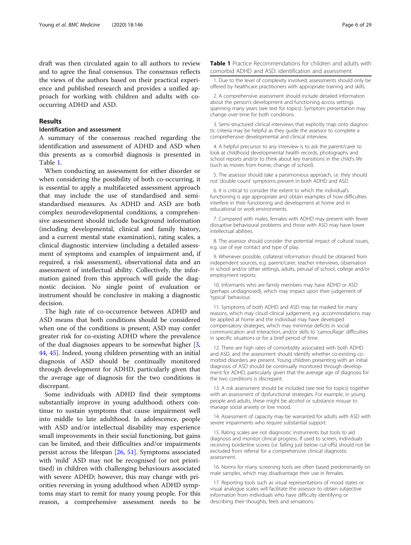<span id="page-5-0"></span>draft was then circulated again to all authors to review and to agree the final consensus. The consensus reflects the views of the authors based on their practical experience and published research and provides a unified approach for working with children and adults with cooccurring ADHD and ASD.

#### Results

#### Identification and assessment

A summary of the consensus reached regarding the identification and assessment of ADHD and ASD when this presents as a comorbid diagnosis is presented in Table 1.

When conducting an assessment for either disorder or when considering the possibility of both co-occurring, it is essential to apply a multifaceted assessment approach that may include the use of standardised and semistandardised measures. As ADHD and ASD are both complex neurodevelopmental conditions, a comprehensive assessment should include background information (including developmental, clinical and family history, and a current mental state examination), rating scales, a clinical diagnostic interview (including a detailed assessment of symptoms and examples of impairment and, if required, a risk assessment), observational data and an assessment of intellectual ability. Collectively, the information gained from this approach will guide the diagnostic decision. No single point of evaluation or instrument should be conclusive in making a diagnostic decision.

The high rate of co-occurrence between ADHD and ASD means that both conditions should be considered when one of the conditions is present; ASD may confer greater risk for co-existing ADHD where the prevalence of the dual diagnoses appears to be somewhat higher [\[3](#page-26-0), [44,](#page-27-0) [45\]](#page-27-0). Indeed, young children presenting with an initial diagnosis of ASD should be continually monitored through development for ADHD, particularly given that the average age of diagnosis for the two conditions is discrepant.

Some individuals with ADHD find their symptoms substantially improve in young adulthood; others continue to sustain symptoms that cause impairment well into middle to late adulthood. In adolescence, people with ASD and/or intellectual disability may experience small improvements in their social functioning, but gains can be limited, and their difficulties and/or impairments persist across the lifespan [\[26,](#page-26-0) [51](#page-27-0)]. Symptoms associated with 'mild' ASD may not be recognised (or not prioritised) in children with challenging behaviours associated with severe ADHD; however, this may change with priorities reversing in young adulthood when ADHD symptoms may start to remit for many young people. For this reason, a comprehensive assessment needs to be Table 1 Practice Recommendations for children and adults with comorbid ADHD and ASD: identification and assessment

1. Due to the level of complexity involved, assessments should only be offered by healthcare practitioners with appropriate training and skills.

2. A comprehensive assessment should include detailed information about the person's development and functioning across settings spanning many years (see text for topics). Symptom presentation may change over time for both conditions.

3. Semi-structured clinical interviews that explicitly map onto diagnostic criteria may be helpful as they guide the assessor to complete a comprehensive developmental and clinical interview.

4. A helpful precursor to any interview is to ask the parent/carer to look at childhood developmental health records, photographs and school reports and/or to think about key transitions in the child's life (such as moves from home, change of school).

5. The assessor should take a parsimonious approach, i.e. they should not 'double count' symptoms present in both ADHD and ASD.

6. It is critical to consider the extent to which the individual's functioning is age appropriate and obtain examples of how difficulties interfere in their functioning and development at home and in educational or work environments.

7. Compared with males, females with ADHD may present with fewer disruptive behavioural problems and those with ASD may have lower intellectual abilities.

8. The assessor should consider the potential impact of cultural issues, e.g. use of eye contact and type of play.

9. Whenever possible, collateral information should be obtained from independent sources, e.g. parent/carer, teacher interviews, observation in school and/or other settings, adults, perusal of school, college and/or employment reports.

10. Informants who are family members may have ADHD or ASD (perhaps undiagnosed), which may impact upon their judgement of 'typical' behaviour.

11. Symptoms of both ADHD and ASD may be masked for many reasons, which may cloud clinical judgement, e.g. accommodations may be applied at home and the individual may have developed compensatory strategies, which may minimise deficits in social communication and interaction, and/or skills to 'camouflage' difficulties in specific situations or for a brief period of time.

12. There are high rates of comorbidity associated with both ADHD and ASD, and the assessment should identify whether co-existing comorbid disorders are present. Young children presenting with an initial diagnosis of ASD should be continually monitored through development for ADHD, particularly given that the average age of diagnosis for the two conditions is discrepant.

13. A risk assessment should be included (see text for topics) together with an assessment of dysfunctional strategies. For example, in young people and adults, these might be alcohol or substance misuse to manage social anxiety or low mood.

14. Assessment of capacity may be warranted for adults with ASD with severe impairments who require substantial support.

15. Rating scales are not diagnostic instruments but tools to aid diagnosis and monitor clinical progress. If used to screen, individuals receiving borderline scores (i.e. falling just below cut-offs) should not be excluded from referral for a comprehensive clinical diagnostic assessment.

16. Norms for many screening tools are often based predominantly on male samples, which may disadvantage their use in females.

17. Reporting tools such as visual representations of mood states or visual analogue scales will facilitate the assessor to obtain subjective information from individuals who have difficulty identifying or describing their thoughts, feels and sensations.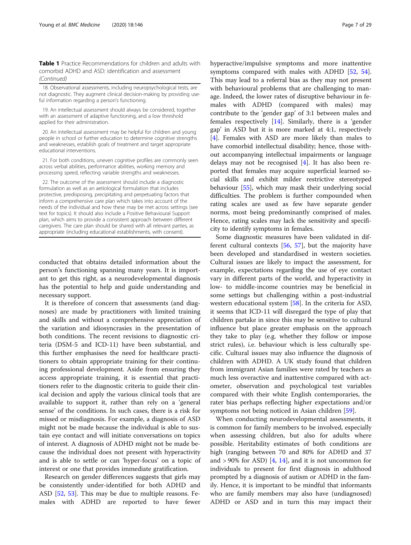Table 1 Practice Recommendations for children and adults with comorbid ADHD and ASD: identification and assessment (Continued)

18. Observational assessments, including neuropsychological tests, are not diagnostic. They augment clinical decision-making by providing useful information regarding a person's functioning.

19. An intellectual assessment should always be considered, together with an assessment of adaptive functioning, and a low threshold applied for their administration.

20. An intellectual assessment may be helpful for children and young people in school or further education to determine cognitive strengths and weaknesses, establish goals of treatment and target appropriate educational interventions.

21. For both conditions, uneven cognitive profiles are commonly seen across verbal abilities, performance abilities, working memory and processing speed, reflecting variable strengths and weaknesses.

22. The outcome of the assessment should include a diagnostic formulation as well as an aetiological formulation that includes protective, predisposing, precipitating and perpetuating factors that inform a comprehensive care plan which takes into account of the needs of the individual and how these may be met across settings (see text for topics). It should also include a Positive Behavioural Support plan, which aims to provide a consistent approach between different caregivers. The care plan should be shared with all relevant parties, as appropriate (including educational establishments, with consent).

conducted that obtains detailed information about the person's functioning spanning many years. It is important to get this right, as a neurodevelopmental diagnosis has the potential to help and guide understanding and necessary support.

It is therefore of concern that assessments (and diagnoses) are made by practitioners with limited training and skills and without a comprehensive appreciation of the variation and idiosyncrasies in the presentation of both conditions. The recent revisions to diagnostic criteria (DSM-5 and ICD-11) have been substantial, and this further emphasises the need for healthcare practitioners to obtain appropriate training for their continuing professional development. Aside from ensuring they access appropriate training, it is essential that practitioners refer to the diagnostic criteria to guide their clinical decision and apply the various clinical tools that are available to support it, rather than rely on a 'general sense' of the conditions. In such cases, there is a risk for missed or misdiagnosis. For example, a diagnosis of ASD might not be made because the individual is able to sustain eye contact and will initiate conversations on topics of interest. A diagnosis of ADHD might not be made because the individual does not present with hyperactivity and is able to settle or can 'hyper-focus' on a topic of interest or one that provides immediate gratification.

Research on gender differences suggests that girls may be consistently under-identified for both ADHD and ASD [[52](#page-27-0), [53](#page-27-0)]. This may be due to multiple reasons. Females with ADHD are reported to have fewer hyperactive/impulsive symptoms and more inattentive symptoms compared with males with ADHD [[52,](#page-27-0) [54](#page-27-0)]. This may lead to a referral bias as they may not present with behavioural problems that are challenging to manage. Indeed, the lower rates of disruptive behaviour in females with ADHD (compared with males) may contribute to the 'gender gap' of 3:1 between males and females respectively [[14\]](#page-26-0). Similarly, there is a 'gender gap' in ASD but it is more marked at 4:1, respectively [[4\]](#page-26-0). Females with ASD are more likely than males to have comorbid intellectual disability; hence, those without accompanying intellectual impairments or language delays may not be recognised [\[4\]](#page-26-0). It has also been reported that females may acquire superficial learned social skills and exhibit milder restrictive stereotyped behaviour [\[55\]](#page-27-0), which may mask their underlying social difficulties. The problem is further compounded when rating scales are used as few have separate gender norms, most being predominantly comprised of males. Hence, rating scales may lack the sensitivity and specificity to identify symptoms in females.

Some diagnostic measures have been validated in different cultural contexts [[56](#page-27-0), [57\]](#page-27-0), but the majority have been developed and standardised in western societies. Cultural issues are likely to impact the assessment, for example, expectations regarding the use of eye contact vary in different parts of the world, and hyperactivity in low- to middle-income countries may be beneficial in some settings but challenging within a post-industrial western educational system [[58\]](#page-27-0). In the criteria for ASD, it seems that ICD-11 will disregard the type of play that children partake in since this may be sensitive to cultural influence but place greater emphasis on the approach they take to play (e.g. whether they follow or impose strict rules), i.e. behaviour which is less culturally specific. Cultural issues may also influence the diagnosis of children with ADHD. A UK study found that children from immigrant Asian families were rated by teachers as much less overactive and inattentive compared with actometer, observation and psychological test variables compared with their white English contemporaries, the rater bias perhaps reflecting higher expectations and/or symptoms not being noticed in Asian children [\[59\]](#page-27-0).

When conducting neurodevelopmental assessments, it is common for family members to be involved, especially when assessing children, but also for adults where possible. Heritability estimates of both conditions are high (ranging between 70 and 80% for ADHD and 37 and  $> 90\%$  for ASD) [[4,](#page-26-0) [14](#page-26-0)], and it is not uncommon for individuals to present for first diagnosis in adulthood prompted by a diagnosis of autism or ADHD in the family. Hence, it is important to be mindful that informants who are family members may also have (undiagnosed) ADHD or ASD and in turn this may impact their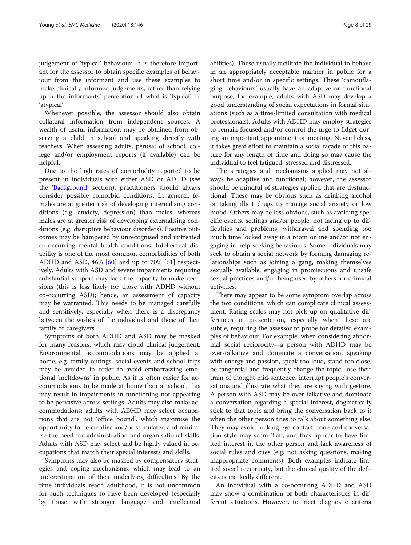judgement of 'typical' behaviour. It is therefore important for the assessor to obtain specific examples of behaviour from the informant and use these examples to make clinically informed judgements, rather than relying upon the informants' perception of what is 'typical' or 'atypical'.

Whenever possible, the assessor should also obtain collateral information from independent sources. A wealth of useful information may be obtained from observing a child in school and speaking directly with teachers. When assessing adults, perusal of school, college and/or employment reports (if available) can be helpful.

Due to the high rates of comorbidity reported to be present in individuals with either ASD or ADHD (see the '[Background](#page-1-0)' section), practitioners should always consider possible comorbid conditions. In general, females are at greater risk of developing internalising conditions (e.g. anxiety, depression) than males, whereas males are at greater risk of developing externalising conditions (e.g. disruptive behaviour disorders). Positive outcomes may be hampered by unrecognised and untreated co-occurring mental health conditions. Intellectual disability is one of the most common comorbidities of both ADHD and ASD,  $46\%$   $[60]$  $[60]$  and up to 70%  $[61]$  $[61]$  respectively. Adults with ASD and severe impairments requiring substantial support may lack the capacity to make decisions (this is less likely for those with ADHD without co-occurring ASD); hence, an assessment of capacity may be warranted. This needs to be managed carefully and sensitively, especially when there is a discrepancy between the wishes of the individual and those of their family or caregivers.

Symptoms of both ADHD and ASD may be masked for many reasons, which may cloud clinical judgement. Environmental accommodations may be applied at home, e.g. family outings, social events and school trips may be avoided in order to avoid embarrassing emotional 'meltdowns' in public. As it is often easier for accommodations to be made at home than at school, this may result in impairments in functioning not appearing to be pervasive across settings. Adults may also make accommodations; adults with ADHD may select occupations that are not 'office bound', which maximise the opportunity to be creative and/or stimulated and minimise the need for administration and organisational skills. Adults with ASD may select and be highly valued in occupations that match their special interests and skills.

Symptoms may also be masked by compensatory strategies and coping mechanisms, which may lead to an underestimation of their underlying difficulties. By the time individuals reach adulthood, it is not uncommon for such techniques to have been developed (especially by those with stronger language and intellectual abilities). These usually facilitate the individual to behave in an appropriately acceptable manner in public for a short time and/or in specific settings. These 'camouflaging behaviours' usually have an adaptive or functional purpose, for example, adults with ASD may develop a good understanding of social expectations in formal situations (such as a time-limited consultation with medical professionals). Adults with ADHD may employ strategies to remain focused and/or control the urge to fidget during an important appointment or meeting. Nevertheless, it takes great effort to maintain a social façade of this nature for any length of time and doing so may cause the individual to feel fatigued, stressed and distressed.

The strategies and mechanisms applied may not always be adaptive and functional; however, the assessor should be mindful of strategies applied that are dysfunctional. These may be obvious such as drinking alcohol or taking illicit drugs to manage social anxiety or low mood. Others may be less obvious, such as avoiding specific events, settings and/or people, not facing up to difficulties and problems, withdrawal and spending too much time locked away in a room online and/or not engaging in help-seeking behaviours. Some individuals may seek to obtain a social network by forming damaging relationships such as joining a gang, making themselves sexually available, engaging in promiscuous and unsafe sexual practices and/or being used by others for criminal activities.

There may appear to be some symptom overlap across the two conditions, which can complicate clinical assessment. Rating scales may not pick up on qualitative differences in presentation, especially when these are subtle, requiring the assessor to probe for detailed examples of behaviour. For example, when considering abnormal social reciprocity—a person with ADHD may be over-talkative and dominate a conversation, speaking with energy and passion, speak too loud, stand too close, be tangential and frequently change the topic, lose their train of thought mid-sentence, interrupt people's conversations and illustrate what they are saying with gesture. A person with ASD may be over-talkative and dominate a conversation regarding a special interest, dogmatically stick to that topic and bring the conversation back to it when the other person tries to talk about something else. They may avoid making eye contact, tone and conversation style may seem 'flat', and they appear to have limited interest in the other person and lack awareness of social rules and cues (e.g. not asking questions, making inappropriate comments). Both examples indicate limited social reciprocity, but the clinical quality of the deficits is markedly different.

An individual with a co-occurring ADHD and ASD may show a combination of both characteristics in different situations. However, to meet diagnostic criteria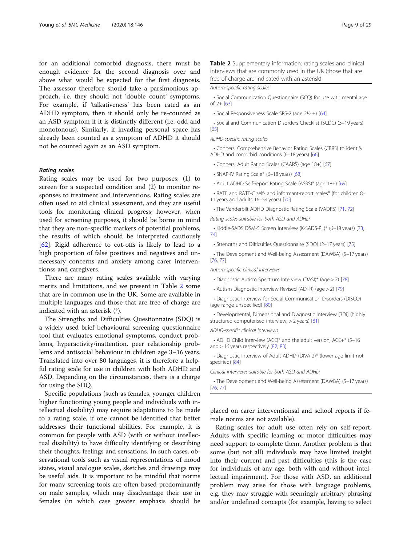<span id="page-8-0"></span>for an additional comorbid diagnosis, there must be enough evidence for the second diagnosis over and above what would be expected for the first diagnosis. The assessor therefore should take a parsimonious approach, i.e. they should not 'double count' symptoms. For example, if 'talkativeness' has been rated as an ADHD symptom, then it should only be re-counted as an ASD symptom if it is distinctly different (i.e. odd and monotonous). Similarly, if invading personal space has already been counted as a symptom of ADHD it should not be counted again as an ASD symptom.

#### Rating scales

Rating scales may be used for two purposes: (1) to screen for a suspected condition and (2) to monitor responses to treatment and interventions. Rating scales are often used to aid clinical assessment, and they are useful tools for monitoring clinical progress; however, when used for screening purposes, it should be borne in mind that they are non-specific markers of potential problems, the results of which should be interpreted cautiously [[62\]](#page-27-0). Rigid adherence to cut-offs is likely to lead to a high proportion of false positives and negatives and unnecessary concerns and anxiety among carer interventionss and caregivers.

There are many rating scales available with varying merits and limitations, and we present in Table 2 some that are in common use in the UK. Some are available in multiple languages and those that are free of charge are indicated with an asterisk (\*).

The Strengths and Difficulties Questionnaire (SDQ) is a widely used brief behavioural screening questionnaire tool that evaluates emotional symptoms, conduct problems, hyperactivity/inattention, peer relationship problems and antisocial behaviour in children age 3–16 years. Translated into over 80 languages, it is therefore a helpful rating scale for use in children with both ADHD and ASD. Depending on the circumstances, there is a charge for using the SDQ.

Specific populations (such as females, younger children higher functioning young people and individuals with intellectual disability) may require adaptations to be made to a rating scale, if one cannot be identified that better addresses their functional abilities. For example, it is common for people with ASD (with or without intellectual disability) to have difficulty identifying or describing their thoughts, feelings and sensations. In such cases, observational tools such as visual representations of mood states, visual analogue scales, sketches and drawings may be useful aids. It is important to be mindful that norms for many screening tools are often based predominantly on male samples, which may disadvantage their use in females (in which case greater emphasis should be Table 2 Supplementary information: rating scales and clinical interviews that are commonly used in the UK (those that are free of charge are indicated with an asterisk)

#### Autism-specific rating scales

• Social Communication Questionnaire (SCQ) for use with mental age of 2+ [\[63](#page-27-0)]

• Social Responsiveness Scale SRS-2 (age 2½ +) [\[64\]](#page-27-0)

• Social and Communication Disorders Checklist (SCDC) (3–19 years) [[65](#page-27-0)]

ADHD-specific rating scales

• Conners' Comprehensive Behavior Rating Scales (CBRS) to identify ADHD and comorbid conditions (6–18 years) [[66](#page-27-0)]

- Conners' Adult Rating Scales (CAARS) (age 18+) [[67](#page-27-0)]
- SNAP-IV Rating Scale\* (6–18 years) [[68](#page-27-0)]
- Adult ADHD Self-report Rating Scale (ASRS)\* (age 18+) [\[69\]](#page-27-0)

• RATE and RATE-C self- and informant-report scales\* (for children 8– 11 years and adults 16–54 years) [[70\]](#page-27-0)

• The Vanderbilt ADHD Diagnostic Rating Scale (VADRS) [\[71,](#page-27-0) [72](#page-27-0)]

Rating scales suitable for both ASD and ADHD

• Kiddie-SADS DSM-5 Screen Interview (K-SADS-PL)\* (6–18 years) [[73,](#page-27-0) [74](#page-27-0)]

• Strengths and Difficulties Questionnaire (SDQ) (2–17 years) [\[75](#page-27-0)]

• The Development and Well-being Assessment (DAWBA) (5–17 years) [[76](#page-27-0), [77\]](#page-27-0)

Autism-specific clinical interviews

- Diagnostic Autism Spectrum Interview (DASI)\* (age > 2) [\[78\]](#page-27-0)
- Autism Diagnostic Interview-Revised (ADI-R) (age > 2) [[79\]](#page-27-0)

• Diagnostic Interview for Social Communication Disorders (DISCO) (age range unspecified) [[80](#page-27-0)]

• Developmental, Dimensional and Diagnostic Interview [3Di] (highly structured computerised interview; > 2 years) [\[81\]](#page-27-0)

ADHD-specific clinical interviews

• ADHD Child Interview (ACE)\* and the adult version, ACE+\* (5–16 and > 16 years respectively [\[82,](#page-27-0) [83](#page-27-0)]

• Diagnostic Interview of Adult ADHD (DIVA-2)\* (lower age limit not specified) [\[84](#page-27-0)]

Clinical interviews suitable for both ASD and ADHD

• The Development and Well-being Assessment (DAWBA) (5–17 years) [[76](#page-27-0), [77\]](#page-27-0)

placed on carer interventionsal and school reports if female norms are not available).

Rating scales for adult use often rely on self-report. Adults with specific learning or motor difficulties may need support to complete them. Another problem is that some (but not all) individuals may have limited insight into their current and past difficulties (this is the case for individuals of any age, both with and without intellectual impairment). For those with ASD, an additional problem may arise for those with language problems, e.g. they may struggle with seemingly arbitrary phrasing and/or undefined concepts (for example, having to select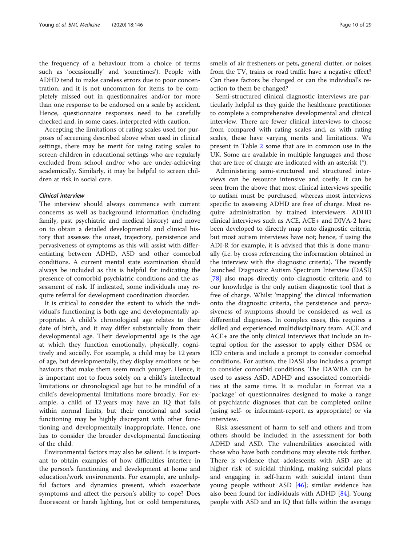the frequency of a behaviour from a choice of terms such as 'occasionally' and 'sometimes'). People with ADHD tend to make careless errors due to poor concentration, and it is not uncommon for items to be completely missed out in questionnaires and/or for more than one response to be endorsed on a scale by accident. Hence, questionnaire responses need to be carefully checked and, in some cases, interpreted with caution.

Accepting the limitations of rating scales used for purposes of screening described above when used in clinical settings, there may be merit for using rating scales to screen children in educational settings who are regularly excluded from school and/or who are under-achieving academically. Similarly, it may be helpful to screen children at risk in social care.

#### Clinical interview

The interview should always commence with current concerns as well as background information (including family, past psychiatric and medical history) and move on to obtain a detailed developmental and clinical history that assesses the onset, trajectory, persistence and pervasiveness of symptoms as this will assist with differentiating between ADHD, ASD and other comorbid conditions. A current mental state examination should always be included as this is helpful for indicating the presence of comorbid psychiatric conditions and the assessment of risk. If indicated, some individuals may require referral for development coordination disorder.

It is critical to consider the extent to which the individual's functioning is both age and developmentally appropriate. A child's chronological age relates to their date of birth, and it may differ substantially from their developmental age. Their developmental age is the age at which they function emotionally, physically, cognitively and socially. For example, a child may be 12 years of age, but developmentally, they display emotions or behaviours that make them seem much younger. Hence, it is important not to focus solely on a child's intellectual limitations or chronological age but to be mindful of a child's developmental limitations more broadly. For example, a child of 12 years may have an IQ that falls within normal limits, but their emotional and social functioning may be highly discrepant with other functioning and developmentally inappropriate. Hence, one has to consider the broader developmental functioning of the child.

Environmental factors may also be salient. It is important to obtain examples of how difficulties interfere in the person's functioning and development at home and education/work environments. For example, are unhelpful factors and dynamics present, which exacerbate symptoms and affect the person's ability to cope? Does fluorescent or harsh lighting, hot or cold temperatures, smells of air fresheners or pets, general clutter, or noises from the TV, trains or road traffic have a negative effect? Can these factors be changed or can the individual's reaction to them be changed?

Semi-structured clinical diagnostic interviews are particularly helpful as they guide the healthcare practitioner to complete a comprehensive developmental and clinical interview. There are fewer clinical interviews to choose from compared with rating scales and, as with rating scales, these have varying merits and limitations. We present in Table [2](#page-8-0) some that are in common use in the UK. Some are available in multiple languages and those that are free of charge are indicated with an asterisk (\*).

Administering semi-structured and structured interviews can be resource intensive and costly. It can be seen from the above that most clinical interviews specific to autism must be purchased, whereas most interviews specific to assessing ADHD are free of charge. Most require administration by trained interviewers. ADHD clinical interviews such as ACE, ACE+ and DIVA-2 have been developed to directly map onto diagnostic criteria, but most autism interviews have not; hence, if using the ADI-R for example, it is advised that this is done manually (i.e. by cross referencing the information obtained in the interview with the diagnostic criteria). The recently launched Diagnostic Autism Spectrum Interview (DASI) [[78\]](#page-27-0) also maps directly onto diagnostic criteria and to our knowledge is the only autism diagnostic tool that is free of charge. Whilst 'mapping' the clinical information onto the diagnostic criteria, the persistence and pervasiveness of symptoms should be considered, as well as differential diagnoses. In complex cases, this requires a skilled and experienced multidisciplinary team. ACE and ACE+ are the only clinical interviews that include an integral option for the assessor to apply either DSM or ICD criteria and include a prompt to consider comorbid conditions. For autism, the DASI also includes a prompt to consider comorbid conditions. The DAWBA can be used to assess ASD, ADHD and associated comorbidities at the same time. It is modular in format via a 'package' of questionnaires designed to make a range of psychiatric diagnoses that can be completed online (using self- or informant-report, as appropriate) or via interview.

Risk assessment of harm to self and others and from others should be included in the assessment for both ADHD and ASD. The vulnerabilities associated with those who have both conditions may elevate risk further. There is evidence that adolescents with ASD are at higher risk of suicidal thinking, making suicidal plans and engaging in self-harm with suicidal intent than young people without ASD [\[46](#page-27-0)]; similar evidence has also been found for individuals with ADHD [\[84](#page-27-0)]. Young people with ASD and an IQ that falls within the average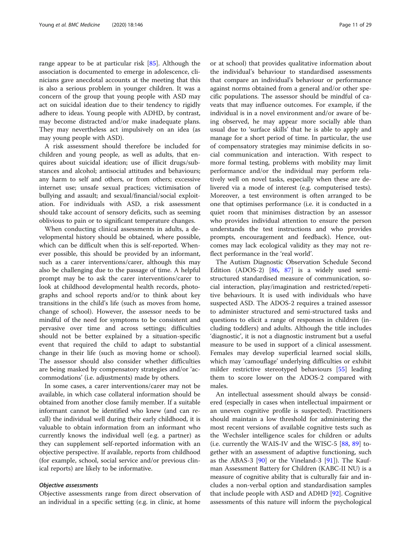range appear to be at particular risk [\[85](#page-27-0)]. Although the association is documented to emerge in adolescence, clinicians gave anecdotal accounts at the meeting that this is also a serious problem in younger children. It was a concern of the group that young people with ASD may act on suicidal ideation due to their tendency to rigidly adhere to ideas. Young people with ADHD, by contrast, may become distracted and/or make inadequate plans. They may nevertheless act impulsively on an idea (as may young people with ASD).

A risk assessment should therefore be included for children and young people, as well as adults, that enquires about suicidal ideation; use of illicit drugs/substances and alcohol; antisocial attitudes and behaviours; any harm to self and others, or from others; excessive internet use; unsafe sexual practices; victimisation of bullying and assault; and sexual/financial/social exploitation. For individuals with ASD, a risk assessment should take account of sensory deficits, such as seeming oblivious to pain or to significant temperature changes.

When conducting clinical assessments in adults, a developmental history should be obtained, where possible, which can be difficult when this is self-reported. Whenever possible, this should be provided by an informant, such as a carer interventions/carer, although this may also be challenging due to the passage of time. A helpful prompt may be to ask the carer interventions/carer to look at childhood developmental health records, photographs and school reports and/or to think about key transitions in the child's life (such as moves from home, change of school). However, the assessor needs to be mindful of the need for symptoms to be consistent and pervasive over time and across settings; difficulties should not be better explained by a situation-specific event that required the child to adapt to substantial change in their life (such as moving home or school). The assessor should also consider whether difficulties are being masked by compensatory strategies and/or 'accommodations' (i.e. adjustments) made by others.

In some cases, a carer interventions/carer may not be available, in which case collateral information should be obtained from another close family member. If a suitable informant cannot be identified who knew (and can recall) the individual well during their early childhood, it is valuable to obtain information from an informant who currently knows the individual well (e.g. a partner) as they can supplement self-reported information with an objective perspective. If available, reports from childhood (for example, school, social service and/or previous clinical reports) are likely to be informative.

#### Objective assessments

Objective assessments range from direct observation of an individual in a specific setting (e.g. in clinic, at home

or at school) that provides qualitative information about the individual's behaviour to standardised assessments that compare an individual's behaviour or performance against norms obtained from a general and/or other specific populations. The assessor should be mindful of caveats that may influence outcomes. For example, if the individual is in a novel environment and/or aware of being observed, he may appear more socially able than usual due to 'surface skills' that he is able to apply and manage for a short period of time. In particular, the use of compensatory strategies may minimise deficits in social communication and interaction. With respect to more formal testing, problems with mobility may limit performance and/or the individual may perform relatively well on novel tasks, especially when these are delivered via a mode of interest (e.g. computerised tests). Moreover, a test environment is often arranged to be one that optimises performance (i.e. it is conducted in a quiet room that minimises distraction by an assessor who provides individual attention to ensure the person understands the test instructions and who provides prompts, encouragement and feedback). Hence, outcomes may lack ecological validity as they may not reflect performance in the 'real world'.

The Autism Diagnostic Observation Schedule Second Edition (ADOS-2) [\[86](#page-27-0), [87](#page-27-0)] is a widely used semistructured standardised measure of communication, social interaction, play/imagination and restricted/repetitive behaviours. It is used with individuals who have suspected ASD. The ADOS-2 requires a trained assessor to administer structured and semi-structured tasks and questions to elicit a range of responses in children (including toddlers) and adults. Although the title includes 'diagnostic', it is not a diagnostic instrument but a useful measure to be used in support of a clinical assessment. Females may develop superficial learned social skills, which may 'camouflage' underlying difficulties or exhibit milder restrictive stereotyped behaviours [\[55](#page-27-0)] leading them to score lower on the ADOS-2 compared with males.

An intellectual assessment should always be considered (especially in cases when intellectual impairment or an uneven cognitive profile is suspected). Practitioners should maintain a low threshold for administering the most recent versions of available cognitive tests such as the Wechsler intelligence scales for children or adults (i.e. currently the WAIS-IV and the WISC-5 [\[88](#page-27-0), [89](#page-27-0)] together with an assessment of adaptive functioning, such as the ABAS-3  $[90]$  $[90]$  or the Vineland-3  $[91]$  $[91]$ ). The Kaufman Assessment Battery for Children (KABC-II NU) is a measure of cognitive ability that is culturally fair and includes a non-verbal option and standardisation samples that include people with ASD and ADHD [[92](#page-27-0)]. Cognitive assessments of this nature will inform the psychological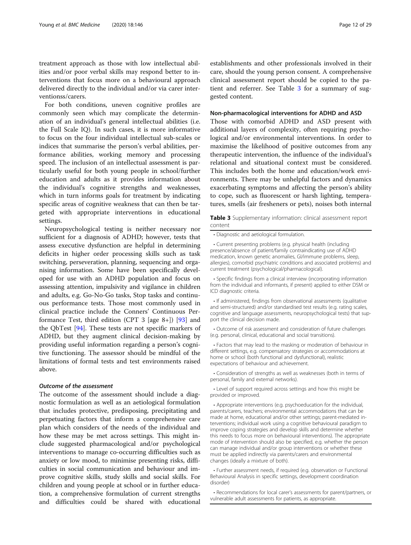treatment approach as those with low intellectual abilities and/or poor verbal skills may respond better to interventions that focus more on a behavioural approach delivered directly to the individual and/or via carer interventionss/carers.

For both conditions, uneven cognitive profiles are commonly seen which may complicate the determination of an individual's general intellectual abilities (i.e. the Full Scale IQ). In such cases, it is more informative to focus on the four individual intellectual sub-scales or indices that summarise the person's verbal abilities, performance abilities, working memory and processing speed. The inclusion of an intellectual assessment is particularly useful for both young people in school/further education and adults as it provides information about the individual's cognitive strengths and weaknesses, which in turn informs goals for treatment by indicating specific areas of cognitive weakness that can then be targeted with appropriate interventions in educational settings.

Neuropsychological testing is neither necessary nor sufficient for a diagnosis of ADHD; however, tests that assess executive dysfunction are helpful in determining deficits in higher order processing skills such as task switching, perseveration, planning, sequencing and organising information. Some have been specifically developed for use with an ADHD population and focus on assessing attention, impulsivity and vigilance in children and adults, e.g. Go-No-Go tasks, Stop tasks and continuous performance tests. Those most commonly used in clinical practice include the Conners' Continuous Per-formance Test, third edition (CPT 3 [age 8+]) [[93](#page-28-0)] and the QbTest [\[94](#page-28-0)]. These tests are not specific markers of ADHD, but they augment clinical decision-making by providing useful information regarding a person's cognitive functioning. The assessor should be mindful of the limitations of formal tests and test environments raised above.

#### Outcome of the assessment

The outcome of the assessment should include a diagnostic formulation as well as an aetiological formulation that includes protective, predisposing, precipitating and perpetuating factors that inform a comprehensive care plan which considers of the needs of the individual and how these may be met across settings. This might include suggested pharmacological and/or psychological interventions to manage co-occurring difficulties such as anxiety or low mood, to minimise presenting risks, difficulties in social communication and behaviour and improve cognitive skills, study skills and social skills. For children and young people at school or in further education, a comprehensive formulation of current strengths and difficulties could be shared with educational establishments and other professionals involved in their care, should the young person consent. A comprehensive clinical assessment report should be copied to the patient and referrer. See Table 3 for a summary of suggested content.

#### Non-pharmacological interventions for ADHD and ASD

Those with comorbid ADHD and ASD present with additional layers of complexity, often requiring psychological and/or environmental interventions. In order to maximise the likelihood of positive outcomes from any therapeutic intervention, the influence of the individual's relational and situational context must be considered. This includes both the home and education/work environments. There may be unhelpful factors and dynamics exacerbating symptoms and affecting the person's ability to cope, such as fluorescent or harsh lighting, temperatures, smells (air fresheners or pets), noises both internal

Table 3 Supplementary information: clinical assessment report content

• Diagnostic and aetiological formulation.

• Current presenting problems (e.g. physical health (including presence/absence of patient/family contraindicating use of ADHD medication, known genetic anomalies, GI/immune problems, sleep, allergies), comorbid psychiatric conditions and associated problems) and current treatment (psychological/pharmacological).

• Specific findings from a clinical interview (incorporating information from the individual and informants, if present) applied to either DSM or ICD diagnostic criteria.

• If administered, findings from observational assessments (qualitative and semi-structured) and/or standardised test results (e.g. rating scales, cognitive and language assessments, neuropsychological tests) that support the clinical decision made.

• Outcome of risk assessment and consideration of future challenges (e.g. personal, clinical, educational and social transitions).

• Factors that may lead to the masking or moderation of behaviour in different settings, e.g. compensatory strategies or accommodations at home or school (both functional and dysfunctional), realistic expectations of behaviour and achievement.

• Consideration of strengths as well as weaknesses (both in terms of personal, family and external networks).

• Level of support required across settings and how this might be provided or improved.

• Appropriate interventions (e.g. psychoeducation for the individual, parents/carers, teachers; environmental accommodations that can be made at home, educational and/or other settings; parent-mediated interventions; individual work using a cognitive behavioural paradigm to improve coping strategies and develop skills and determine whether this needs to focus more on behavioural interventions). The appropriate mode of intervention should also be specified, e.g. whether the person can manage individual and/or group interventions or whether these must be applied indirectly via parents/carers and environmental changes (ideally a mixture of both).

• Further assessment needs, if required (e.g. observation or Functional Behavioural Analysis in specific settings, development coordination disorder)

• Recommendations for local carer's assessments for parent/partners, or vulnerable adult assessments for patients, as appropriate.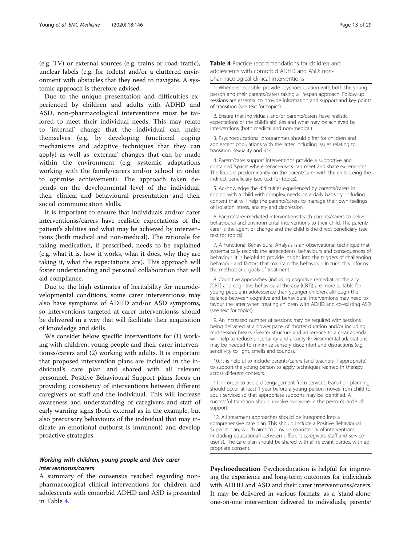<span id="page-12-0"></span>(e.g. TV) or external sources (e.g. trains or road traffic), unclear labels (e.g. for toilets) and/or a cluttered environment with obstacles that they need to navigate. A systemic approach is therefore advised.

Due to the unique presentation and difficulties experienced by children and adults with ADHD and ASD, non-pharmacological interventions must be tailored to meet their individual needs. This may relate to 'internal' change that the individual can make themselves (e.g. by developing functional coping mechanisms and adaptive techniques that they can apply) as well as 'external' changes that can be made within the environment (e.g. systemic adaptations working with the family/carers and/or school in order to optimise achievement). The approach taken depends on the developmental level of the individual, their clinical and behavioural presentation and their social communication skills.

It is important to ensure that individuals and/or carer interventionss/carers have realistic expectations of the patient's abilities and what may be achieved by interventions (both medical and non-medical). The rationale for taking medication, if prescribed, needs to be explained (e.g. what it is, how it works, what it does, why they are taking it, what the expectations are). This approach will foster understanding and personal collaboration that will aid compliance.

Due to the high estimates of heritability for neurodevelopmental conditions, some carer interventionss may also have symptoms of ADHD and/or ASD symptoms, so interventions targeted at carer interventionss should be delivered in a way that will facilitate their acquisition of knowledge and skills.

We consider below specific interventions for (1) working with children, young people and their carer interventionss/carers and (2) working with adults. It is important that proposed intervention plans are included in the individual's care plan and shared with all relevant personnel. Positive Behavioural Support plans focus on providing consistency of interventions between different caregivers or staff and the individual. This will increase awareness and understanding of caregivers and staff of early warning signs (both external as in the example, but also precursory behaviours of the individual that may indicate an emotional outburst is imminent) and develop proactive strategies.

#### Working with children, young people and their carer interventionss/carers

A summary of the consensus reached regarding nonpharmacological clinical interventions for children and adolescents with comorbid ADHD and ASD is presented in Table 4.

Table 4 Practice recommendations for children and adolescents with comorbid ADHD and ASD: nonpharmacological clinical interventions

1. Whenever possible, provide psychoeducation with both the young person and their parents/carers taking a lifespan approach. Follow-up sessions are essential to provide information and support and key points of transition (see text for topics).

2. Ensure that individuals and/or parents/carers have realistic expectations of the child's abilities and what may be achieved by interventions (both medical and non-medical).

3. Psychoeducational programmes should differ for children and adolescent populations with the latter including issues relating to transition, sexuality and risk.

4. Parent/carer support interventions provide a supportive and contained 'space' where service-users can meet and share experiences. The focus is predominantly on the parent/carer with the child being the indirect beneficiary (see text for topics).

5. Acknowledge the difficulties experienced by parents/carers in coping with a child with complex needs on a daily basis by including content that will help the parents/carers to manage their own feelings of isolation, stress, anxiety and depression.

6. Parent/carer-mediated interventions teach parents/carers to deliver behavioural and environmental interventions to their child. The parent/ carer is the agent of change and the child is the direct beneficiary (see text for topics).

7. A Functional Behavioural Analysis is an observational technique that systematically records the antecedents, behaviours and consequences of behaviour. It is helpful to provide insight into the triggers of challenging behaviour and factors that maintain the behaviour. In turn, this informs the method and goals of treatment.

8. Cognitive approaches (including cognitive remediation therapy [CRT] and cognitive behavioural therapy [CBT]) are more suitable for young people in adolescence than younger children, although the balance between cognitive and behavioural interventions may need to favour the latter when treating children with ADHD and co-existing ASD (see text for topics).

9. An increased number of sessions may be required with sessions being delivered at a slower pace, of shorter duration and/or including mid-session breaks. Greater structure and adherence to a clear agenda will help to reduce uncertainty and anxiety. Environmental adaptations may be needed to minimise sensory discomfort and distractions (e.g. sensitivity to light, smells and sounds).

10. It is helpful to include parents/carers (and teachers if appropriate) to support the young person to apply techniques learned in therapy across different contexts.

11. In order to avoid disengagement from services, transition planning should occur at least 1 year before a young person moves from child to adult services so that appropriate supports may be identified. A successful transition should involve everyone in the person's circle of support.

12. All treatment approaches should be integrated into a comprehensive care plan. This should include a Positive Behavioural Support plan, which aims to provide consistency of interventions (including educational) between different caregivers, staff and serviceuser(s). The care plan should be shared with all relevant parties, with appropriate consent.

Psychoeducation Psychoeducation is helpful for improving the experience and long-term outcomes for individuals with ADHD and ASD and their carer interventionss/carers. It may be delivered in various formats: as a 'stand-alone' one-on-one intervention delivered to individuals, parents/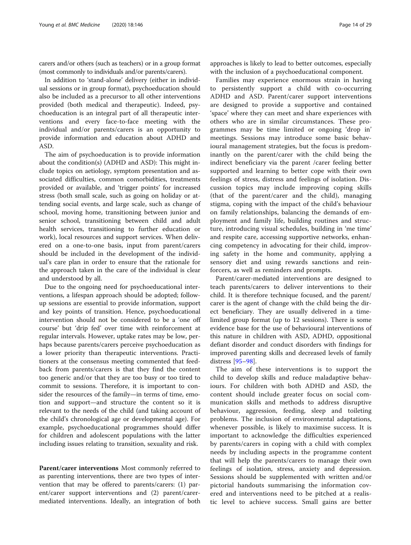carers and/or others (such as teachers) or in a group format (most commonly to individuals and/or parents/carers).

In addition to 'stand-alone' delivery (either in individual sessions or in group format), psychoeducation should also be included as a precursor to all other interventions provided (both medical and therapeutic). Indeed, psychoeducation is an integral part of all therapeutic interventions and every face-to-face meeting with the individual and/or parents/carers is an opportunity to provide information and education about ADHD and ASD.

The aim of psychoeducation is to provide information about the condition(s) (ADHD and ASD): This might include topics on aetiology, symptom presentation and associated difficulties, common comorbidities, treatments provided or available, and 'trigger points' for increased stress (both small scale, such as going on holiday or attending social events, and large scale, such as change of school, moving home, transitioning between junior and senior school, transitioning between child and adult health services, transitioning to further education or work), local resources and support services. When delivered on a one-to-one basis, input from parent/carers should be included in the development of the individual's care plan in order to ensure that the rationale for the approach taken in the care of the individual is clear and understood by all.

Due to the ongoing need for psychoeducational interventions, a lifespan approach should be adopted; followup sessions are essential to provide information, support and key points of transition. Hence, psychoeducational intervention should not be considered to be a 'one off course' but 'drip fed' over time with reinforcement at regular intervals. However, uptake rates may be low, perhaps because parents/carers perceive psychoeducation as a lower priority than therapeutic interventions. Practitioners at the consensus meeting commented that feedback from parents/carers is that they find the content too generic and/or that they are too busy or too tired to commit to sessions. Therefore, it is important to consider the resources of the family—in terms of time, emotion and support—and structure the content so it is relevant to the needs of the child (and taking account of the child's chronological age or developmental age). For example, psychoeducational programmes should differ for children and adolescent populations with the latter including issues relating to transition, sexuality and risk.

Parent/carer interventions Most commonly referred to as parenting interventions, there are two types of intervention that may be offered to parents/carers: (1) parent/carer support interventions and (2) parent/carermediated interventions. Ideally, an integration of both with the inclusion of a psychoeducational component.

Families may experience enormous strain in having to persistently support a child with co-occurring ADHD and ASD. Parent/carer support interventions are designed to provide a supportive and contained 'space' where they can meet and share experiences with others who are in similar circumstances. These programmes may be time limited or ongoing 'drop in' meetings. Sessions may introduce some basic behavioural management strategies, but the focus is predominantly on the parent/carer with the child being the indirect beneficiary via the parent /carer feeling better supported and learning to better cope with their own feelings of stress, distress and feelings of isolation. Discussion topics may include improving coping skills (that of the parent/carer and the child), managing stigma, coping with the impact of the child's behaviour on family relationships, balancing the demands of employment and family life, building routines and structure, introducing visual schedules, building in 'me time' and respite care, accessing supportive networks, enhancing competency in advocating for their child, improving safety in the home and community, applying a sensory diet and using rewards sanctions and reinforcers, as well as reminders and prompts.

Parent/carer-mediated interventions are designed to teach parents/carers to deliver interventions to their child. It is therefore technique focused, and the parent/ carer is the agent of change with the child being the direct beneficiary. They are usually delivered in a timelimited group format (up to 12 sessions). There is some evidence base for the use of behavioural interventions of this nature in children with ASD, ADHD, oppositional defiant disorder and conduct disorders with findings for improved parenting skills and decreased levels of family distress [\[95](#page-28-0)–[98\]](#page-28-0).

The aim of these interventions is to support the child to develop skills and reduce maladaptive behaviours. For children with both ADHD and ASD, the content should include greater focus on social communication skills and methods to address disruptive behaviour, aggression, feeding, sleep and toileting problems. The inclusion of environmental adaptations, whenever possible, is likely to maximise success. It is important to acknowledge the difficulties experienced by parents/carers in coping with a child with complex needs by including aspects in the programme content that will help the parents/carers to manage their own feelings of isolation, stress, anxiety and depression. Sessions should be supplemented with written and/or pictorial handouts summarising the information covered and interventions need to be pitched at a realistic level to achieve success. Small gains are better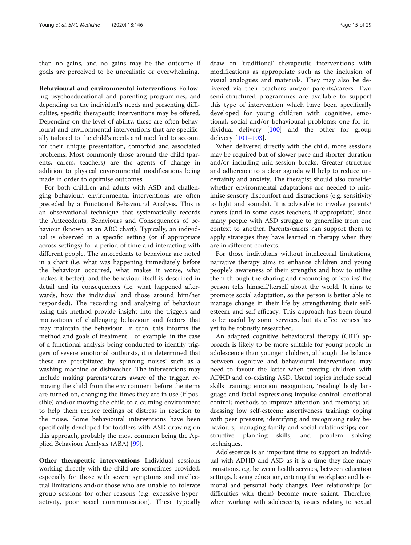than no gains, and no gains may be the outcome if goals are perceived to be unrealistic or overwhelming.

Behavioural and environmental interventions Following psychoeducational and parenting programmes, and depending on the individual's needs and presenting difficulties, specific therapeutic interventions may be offered. Depending on the level of ability, these are often behavioural and environmental interventions that are specifically tailored to the child's needs and modified to account for their unique presentation, comorbid and associated problems. Most commonly those around the child (parents, carers, teachers) are the agents of change in addition to physical environmental modifications being made in order to optimise outcomes.

For both children and adults with ASD and challenging behaviour, environmental interventions are often preceded by a Functional Behavioural Analysis. This is an observational technique that systematically records the Antecedents, Behaviours and Consequences of behaviour (known as an ABC chart). Typically, an individual is observed in a specific setting (or if appropriate across settings) for a period of time and interacting with different people. The antecedents to behaviour are noted in a chart (i.e. what was happening immediately before the behaviour occurred, what makes it worse, what makes it better), and the behaviour itself is described in detail and its consequences (i.e. what happened afterwards, how the individual and those around him/her responded). The recording and analysing of behaviour using this method provide insight into the triggers and motivations of challenging behaviour and factors that may maintain the behaviour. In turn, this informs the method and goals of treatment. For example, in the case of a functional analysis being conducted to identify triggers of severe emotional outbursts, it is determined that these are precipitated by 'spinning noises' such as a washing machine or dishwasher. The interventions may include making parents/carers aware of the trigger, removing the child from the environment before the items are turned on, changing the times they are in use (if possible) and/or moving the child to a calming environment to help them reduce feelings of distress in reaction to the noise. Some behavioural interventions have been specifically developed for toddlers with ASD drawing on this approach, probably the most common being the Applied Behaviour Analysis (ABA) [[99](#page-28-0)].

Other therapeutic interventions Individual sessions working directly with the child are sometimes provided, especially for those with severe symptoms and intellectual limitations and/or those who are unable to tolerate group sessions for other reasons (e.g. excessive hyperactivity, poor social communication). These typically draw on 'traditional' therapeutic interventions with modifications as appropriate such as the inclusion of visual analogues and materials. They may also be delivered via their teachers and/or parents/carers. Two semi-structured programmes are available to support this type of intervention which have been specifically developed for young children with cognitive, emotional, social and/or behavioural problems: one for individual delivery [[100\]](#page-28-0) and the other for group delivery [\[101](#page-28-0)–[103](#page-28-0)].

When delivered directly with the child, more sessions may be required but of slower pace and shorter duration and/or including mid-session breaks. Greater structure and adherence to a clear agenda will help to reduce uncertainty and anxiety. The therapist should also consider whether environmental adaptations are needed to minimise sensory discomfort and distractions (e.g. sensitivity to light and sounds). It is advisable to involve parents/ carers (and in some cases teachers, if appropriate) since many people with ASD struggle to generalise from one context to another. Parents/carers can support them to apply strategies they have learned in therapy when they are in different contexts.

For those individuals without intellectual limitations, narrative therapy aims to enhance children and young people's awareness of their strengths and how to utilise them through the sharing and recounting of 'stories' the person tells himself/herself about the world. It aims to promote social adaptation, so the person is better able to manage change in their life by strengthening their selfesteem and self-efficacy. This approach has been found to be useful by some services, but its effectiveness has yet to be robustly researched.

An adapted cognitive behavioural therapy (CBT) approach is likely to be more suitable for young people in adolescence than younger children, although the balance between cognitive and behavioural interventions may need to favour the latter when treating children with ADHD and co-existing ASD. Useful topics include social skills training; emotion recognition, 'reading' body language and facial expressions; impulse control; emotional control; methods to improve attention and memory; addressing low self-esteem; assertiveness training; coping with peer pressure; identifying and recognising risky behaviours; managing family and social relationships; constructive planning skills; and problem solving techniques.

Adolescence is an important time to support an individual with ADHD and ASD as it is a time they face many transitions, e.g. between health services, between education settings, leaving education, entering the workplace and hormonal and personal body changes. Peer relationships (or difficulties with them) become more salient. Therefore, when working with adolescents, issues relating to sexual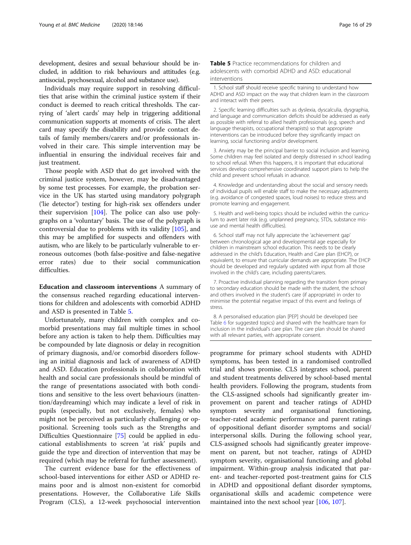<span id="page-15-0"></span>development, desires and sexual behaviour should be included, in addition to risk behaviours and attitudes (e.g. antisocial, psychosexual, alcohol and substance use).

Individuals may require support in resolving difficulties that arise within the criminal justice system if their conduct is deemed to reach critical thresholds. The carrying of 'alert cards' may help in triggering additional communication supports at moments of crisis. The alert card may specify the disability and provide contact details of family members/carers and/or professionals involved in their care. This simple intervention may be influential in ensuring the individual receives fair and just treatment.

Those people with ASD that do get involved with the criminal justice system, however, may be disadvantaged by some test processes. For example, the probation service in the UK has started using mandatory polygraph ('lie detector') testing for high-risk sex offenders under their supervision  $[104]$  $[104]$ . The police can also use polygraphs on a 'voluntary' basis. The use of the polygraph is controversial due to problems with its validity [\[105](#page-28-0)], and this may be amplified for suspects and offenders with autism, who are likely to be particularly vulnerable to erroneous outcomes (both false-positive and false-negative error rates) due to their social communication difficulties.

Education and classroom interventions A summary of the consensus reached regarding educational interventions for children and adolescents with comorbid ADHD and ASD is presented in Table 5.

Unfortunately, many children with complex and comorbid presentations may fail multiple times in school before any action is taken to help them. Difficulties may be compounded by late diagnosis or delay in recognition of primary diagnosis, and/or comorbid disorders following an initial diagnosis and lack of awareness of ADHD and ASD. Education professionals in collaboration with health and social care professionals should be mindful of the range of presentations associated with both conditions and sensitive to the less overt behaviours (inattention/daydreaming) which may indicate a level of risk in pupils (especially, but not exclusively, females) who might not be perceived as particularly challenging or oppositional. Screening tools such as the Strengths and Difficulties Questionnaire [[75\]](#page-27-0) could be applied in educational establishments to screen 'at risk' pupils and guide the type and direction of intervention that may be required (which may be referral for further assessment).

The current evidence base for the effectiveness of school-based interventions for either ASD or ADHD remains poor and is almost non-existent for comorbid presentations. However, the Collaborative Life Skills Program (CLS), a 12-week psychosocial intervention Table 5 Practice recommendations for children and adolescents with comorbid ADHD and ASD: educational interventions

1. School staff should receive specific training to understand how ADHD and ASD impact on the way that children learn in the classroom and interact with their peers.

2. Specific learning difficulties such as dyslexia, dyscalculia, dysgraphia, and language and communication deficits should be addressed as early as possible with referral to allied health professionals (e.g. speech and language therapists, occupational therapists) so that appropriate interventions can be introduced before they significantly impact on learning, social functioning and/or development.

3. Anxiety may be the principal barrier to social inclusion and learning. Some children may feel isolated and deeply distressed in school leading to school refusal. When this happens, it is important that educational services develop comprehensive coordinated support plans to help the child and prevent school refusals in advance.

4. Knowledge and understanding about the social and sensory needs of individual pupils will enable staff to make the necessary adjustments (e.g. avoidance of congested spaces, loud noises) to reduce stress and promote learning and engagement.

5. Health and well-being topics should be included within the curriculum to avert later risk (e.g. unplanned pregnancy, STDs, substance misuse and mental health difficulties).

6. School staff may not fully appreciate the 'achievement gap' between chronological age and developmental age especially for children in mainstream school education. This needs to be clearly addressed in the child's Education, Health and Care plan (EHCP), or equivalent, to ensure that curricular demands are appropriate. The EHCP should be developed and regularly updated with input from all those involved in the child's care, including parents/carers.

7. Proactive individual planning regarding the transition from primary to secondary education should be made with the student, the school and others involved in the student's care (if appropriate) in order to minimise the potential negative impact of this event and feelings of stress.

8. A personalised education plan [PEP] should be developed (see Table [6](#page-17-0) for suggested topics) and shared with the healthcare team for inclusion in the individual's care plan. The care plan should be shared with all relevant parties, with appropriate consent.

programme for primary school students with ADHD symptoms, has been tested in a randomised controlled trial and shows promise. CLS integrates school, parent and student treatments delivered by school-based mental health providers. Following the program, students from the CLS-assigned schools had significantly greater improvement on parent and teacher ratings of ADHD symptom severity and organisational functioning, teacher-rated academic performance and parent ratings of oppositional defiant disorder symptoms and social/ interpersonal skills. During the following school year, CLS-assigned schools had significantly greater improvement on parent, but not teacher, ratings of ADHD symptom severity, organisational functioning and global impairment. Within-group analysis indicated that parent- and teacher-reported post-treatment gains for CLS in ADHD and oppositional defiant disorder symptoms, organisational skills and academic competence were maintained into the next school year [\[106](#page-28-0), [107\]](#page-28-0).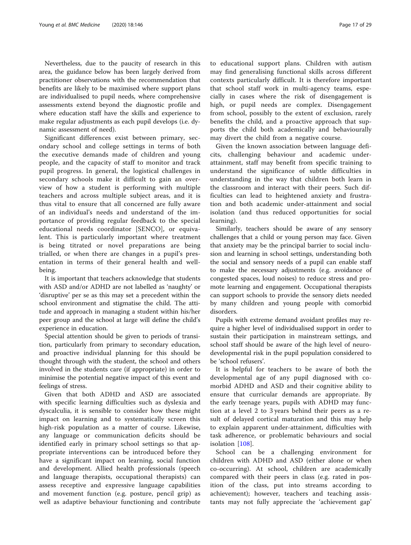Nevertheless, due to the paucity of research in this area, the guidance below has been largely derived from practitioner observations with the recommendation that benefits are likely to be maximised where support plans are individualised to pupil needs, where comprehensive assessments extend beyond the diagnostic profile and where education staff have the skills and experience to make regular adjustments as each pupil develops (i.e. dynamic assessment of need).

Significant differences exist between primary, secondary school and college settings in terms of both the executive demands made of children and young people, and the capacity of staff to monitor and track pupil progress. In general, the logistical challenges in secondary schools make it difficult to gain an overview of how a student is performing with multiple teachers and across multiple subject areas, and it is thus vital to ensure that all concerned are fully aware of an individual's needs and understand of the importance of providing regular feedback to the special educational needs coordinator [SENCO], or equivalent. This is particularly important where treatment is being titrated or novel preparations are being trialled, or when there are changes in a pupil's presentation in terms of their general health and wellbeing.

It is important that teachers acknowledge that students with ASD and/or ADHD are not labelled as 'naughty' or 'disruptive' per se as this may set a precedent within the school environment and stigmatise the child. The attitude and approach in managing a student within his/her peer group and the school at large will define the child's experience in education.

Special attention should be given to periods of transition, particularly from primary to secondary education, and proactive individual planning for this should be thought through with the student, the school and others involved in the students care (if appropriate) in order to minimise the potential negative impact of this event and feelings of stress.

Given that both ADHD and ASD are associated with specific learning difficulties such as dyslexia and dyscalculia, it is sensible to consider how these might impact on learning and to systematically screen this high-risk population as a matter of course. Likewise, any language or communication deficits should be identified early in primary school settings so that appropriate interventions can be introduced before they have a significant impact on learning, social function and development. Allied health professionals (speech and language therapists, occupational therapists) can assess receptive and expressive language capabilities and movement function (e.g. posture, pencil grip) as well as adaptive behaviour functioning and contribute to educational support plans. Children with autism may find generalising functional skills across different contexts particularly difficult. It is therefore important that school staff work in multi-agency teams, especially in cases where the risk of disengagement is high, or pupil needs are complex. Disengagement from school, possibly to the extent of exclusion, rarely benefits the child, and a proactive approach that supports the child both academically and behaviourally may divert the child from a negative course.

Given the known association between language deficits, challenging behaviour and academic underattainment, staff may benefit from specific training to understand the significance of subtle difficulties in understanding in the way that children both learn in the classroom and interact with their peers. Such difficulties can lead to heightened anxiety and frustration and both academic under-attainment and social isolation (and thus reduced opportunities for social learning).

Similarly, teachers should be aware of any sensory challenges that a child or young person may face. Given that anxiety may be the principal barrier to social inclusion and learning in school settings, understanding both the social and sensory needs of a pupil can enable staff to make the necessary adjustments (e.g. avoidance of congested spaces, loud noises) to reduce stress and promote learning and engagement. Occupational therapists can support schools to provide the sensory diets needed by many children and young people with comorbid disorders.

Pupils with extreme demand avoidant profiles may require a higher level of individualised support in order to sustain their participation in mainstream settings, and school staff should be aware of the high level of neurodevelopmental risk in the pupil population considered to be 'school refusers'.

It is helpful for teachers to be aware of both the developmental age of any pupil diagnosed with comorbid ADHD and ASD and their cognitive ability to ensure that curricular demands are appropriate. By the early teenage years, pupils with ADHD may function at a level 2 to 3 years behind their peers as a result of delayed cortical maturation and this may help to explain apparent under-attainment, difficulties with task adherence, or problematic behaviours and social isolation [\[108](#page-28-0)].

School can be a challenging environment for children with ADHD and ASD (either alone or when co-occurring). At school, children are academically compared with their peers in class (e.g. rated in position of the class, put into streams according to achievement); however, teachers and teaching assistants may not fully appreciate the 'achievement gap'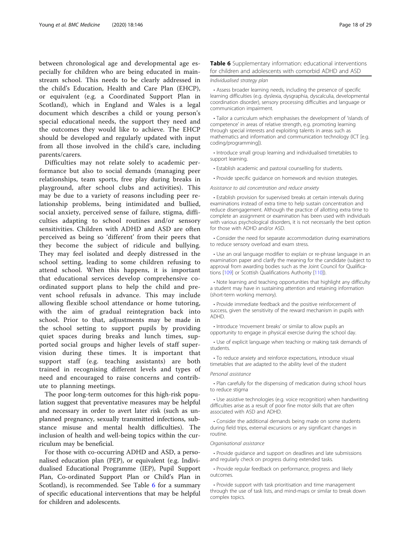<span id="page-17-0"></span>between chronological age and developmental age especially for children who are being educated in mainstream school. This needs to be clearly addressed in the child's Education, Health and Care Plan (EHCP), or equivalent (e.g. a Coordinated Support Plan in Scotland), which in England and Wales is a legal document which describes a child or young person's special educational needs, the support they need and the outcomes they would like to achieve. The EHCP should be developed and regularly updated with input from all those involved in the child's care, including parents/carers.

Difficulties may not relate solely to academic performance but also to social demands (managing peer relationships, team sports, free play during breaks in playground, after school clubs and activities). This may be due to a variety of reasons including peer relationship problems, being intimidated and bullied, social anxiety, perceived sense of failure, stigma, difficulties adapting to school routines and/or sensory sensitivities. Children with ADHD and ASD are often perceived as being so 'different' from their peers that they become the subject of ridicule and bullying. They may feel isolated and deeply distressed in the school setting, leading to some children refusing to attend school. When this happens, it is important that educational services develop comprehensive coordinated support plans to help the child and prevent school refusals in advance. This may include allowing flexible school attendance or home tutoring, with the aim of gradual reintegration back into school. Prior to that, adjustments may be made in the school setting to support pupils by providing quiet spaces during breaks and lunch times, supported social groups and higher levels of staff supervision during these times. It is important that support staff (e.g. teaching assistants) are both trained in recognising different levels and types of need and encouraged to raise concerns and contribute to planning meetings.

The poor long-term outcomes for this high-risk population suggest that preventative measures may be helpful and necessary in order to avert later risk (such as unplanned pregnancy, sexually transmitted infections, substance misuse and mental health difficulties). The inclusion of health and well-being topics within the curriculum may be beneficial.

For those with co-occurring ADHD and ASD, a personalised education plan (PEP), or equivalent (e.g. Individualised Educational Programme (IEP), Pupil Support Plan, Co-ordinated Support Plan or Child's Plan in Scotland), is recommended. See Table 6 for a summary of specific educational interventions that may be helpful for children and adolescents.

#### Table 6 Supplementary information: educational interventions for children and adolescents with comorbid ADHD and ASD

#### Individualised strategy plan

• Assess broader learning needs, including the presence of specific learning difficulties (e.g. dyslexia, dysgraphia, dyscalculia, developmental coordination disorder), sensory processing difficulties and language or communication impairment.

• Tailor a curriculum which emphasises the development of 'islands of competence' in areas of relative strength, e.g. promoting learning through special interests and exploiting talents in areas such as mathematics and information and communication technology (ICT [e.g. coding/programming]).

• Introduce small group learning and individualised timetables to support learning.

- Establish academic and pastoral counselling for students.
- Provide specific quidance on homework and revision strategies.

Assistance to aid concentration and reduce anxiety

• Establish provision for supervised breaks at certain intervals during examinations instead of extra time to help sustain concentration and reduce disengagement. Although the practice of allotting extra time to complete an assignment or examination has been used with individuals with various psychological disorders, it is not necessarily the best option for those with ADHD and/or ASD.

• Consider the need for separate accommodation during examinations to reduce sensory overload and exam stress.

• Use an oral language modifier to explain or re-phrase language in an examination paper and clarify the meaning for the candidate (subject to approval from awarding bodies such as the Joint Council for Qualifications [[109](#page-28-0)] or Scottish Qualifications Authority [\[110](#page-28-0)]).

• Note learning and teaching opportunities that highlight any difficulty a student may have in sustaining attention and retaining information (short-term working memory).

• Provide immediate feedback and the positive reinforcement of success, given the sensitivity of the reward mechanism in pupils with ADHD.

• Introduce 'movement breaks' or similar to allow pupils an opportunity to engage in physical exercise during the school day.

• Use of explicit language when teaching or making task demands of students.

• To reduce anxiety and reinforce expectations, introduce visual timetables that are adapted to the ability level of the student

#### Personal assistance

• Plan carefully for the dispensing of medication during school hours to reduce stigma

• Use assistive technologies (e.g. voice recognition) when handwriting difficulties arise as a result of poor fine motor skills that are often associated with ASD and ADHD.

• Consider the additional demands being made on some students during field trips, external excursions or any significant changes in routine.

#### Organisational assistance

• Provide guidance and support on deadlines and late submissions and regularly check on progress during extended tasks.

• Provide regular feedback on performance, progress and likely outcomes.

• Provide support with task prioritisation and time management through the use of task lists, and mind-maps or similar to break down complex topics.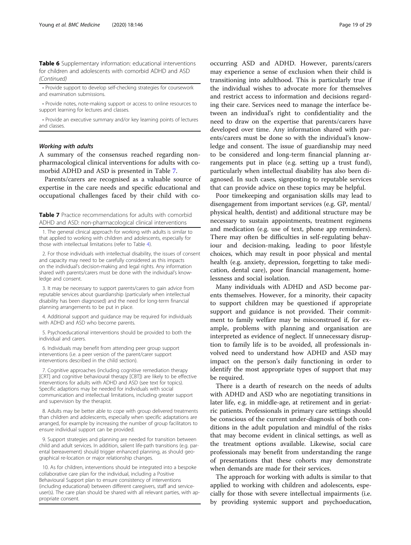<span id="page-18-0"></span>Table 6 Supplementary information: educational interventions for children and adolescents with comorbid ADHD and ASD (Continued)

• Provide support to develop self-checking strategies for coursework and examination submissions.

• Provide notes, note-making support or access to online resources to support learning for lectures and classes.

• Provide an executive summary and/or key learning points of lectures and classes.

#### Working with adults

A summary of the consensus reached regarding nonpharmacological clinical interventions for adults with comorbid ADHD and ASD is presented in Table 7.

Parents/carers are recognised as a valuable source of expertise in the care needs and specific educational and occupational challenges faced by their child with co-

Table 7 Practice recommendations for adults with comorbid ADHD and ASD: non-pharmacological clinical interventions

1. The general clinical approach for working with adults is similar to that applied to working with children and adolescents, especially for those with intellectual limitations (refer to Table [4\)](#page-12-0).

2. For those individuals with intellectual disability, the issues of consent and capacity may need to be carefully considered as this impacts on the individual's decision-making and legal rights. Any information shared with parents/carers must be done with the individual's knowledge and consent.

3. It may be necessary to support parents/carers to gain advice from reputable services about guardianship (particularly when intellectual disability has been diagnosed) and the need for long-term financial planning arrangements to be put in place.

4. Additional support and guidance may be required for individuals with ADHD and ASD who become parents.

5. Psychoeducational interventions should be provided to both the individual and carers.

6. Individuals may benefit from attending peer group support interventions (i.e. a peer version of the parent/carer support interventions described in the child section).

7. Cognitive approaches (including cognitive remediation therapy [CRT] and cognitive behavioural therapy [CBT]) are likely to be effective interventions for adults with ADHD and ASD (see text for topics). Specific adaptions may be needed for individuals with social communication and intellectual limitations, including greater support and supervision by the therapist.

8. Adults may be better able to cope with group delivered treatments than children and adolescents, especially when specific adaptations are arranged, for example by increasing the number of group facilitators to ensure individual support can be provided.

9. Support strategies and planning are needed for transition between child and adult services. In addition, salient life-path transitions (e.g. parental bereavement) should trigger enhanced planning, as should geographical re-location or major relationship changes.

10. As for children, interventions should be integrated into a bespoke collaborative care plan for the individual, including a Positive Behavioural Support plan to ensure consistency of interventions (including educational) between different caregivers, staff and serviceuser(s). The care plan should be shared with all relevant parties, with appropriate consent.

occurring ASD and ADHD. However, parents/carers may experience a sense of exclusion when their child is transitioning into adulthood. This is particularly true if the individual wishes to advocate more for themselves and restrict access to information and decisions regarding their care. Services need to manage the interface between an individual's right to confidentiality and the need to draw on the expertise that parents/carers have developed over time. Any information shared with parents/carers must be done so with the individual's knowledge and consent. The issue of guardianship may need to be considered and long-term financial planning arrangements put in place (e.g. setting up a trust fund), particularly when intellectual disability has also been diagnosed. In such cases, signposting to reputable services that can provide advice on these topics may be helpful.

Poor timekeeping and organisation skills may lead to disengagement from important services (e.g. GP, mental/ physical health, dentist) and additional structure may be necessary to sustain appointments, treatment regimens and medication (e.g. use of text, phone app reminders). There may often be difficulties in self-regulating behaviour and decision-making, leading to poor lifestyle choices, which may result in poor physical and mental health (e.g. anxiety, depression, forgetting to take medication, dental care), poor financial management, homelessness and social isolation.

Many individuals with ADHD and ASD become parents themselves. However, for a minority, their capacity to support children may be questioned if appropriate support and guidance is not provided. Their commitment to family welfare may be misconstrued if, for example, problems with planning and organisation are interpreted as evidence of neglect. If unnecessary disruption to family life is to be avoided, all professionals involved need to understand how ADHD and ASD may impact on the person's daily functioning in order to identify the most appropriate types of support that may be required.

There is a dearth of research on the needs of adults with ADHD and ASD who are negotiating transitions in later life, e.g. in middle-age, at retirement and in geriatric patients. Professionals in primary care settings should be conscious of the current under-diagnosis of both conditions in the adult population and mindful of the risks that may become evident in clinical settings, as well as the treatment options available. Likewise, social care professionals may benefit from understanding the range of presentations that these cohorts may demonstrate when demands are made for their services.

The approach for working with adults is similar to that applied to working with children and adolescents, especially for those with severe intellectual impairments (i.e. by providing systemic support and psychoeducation,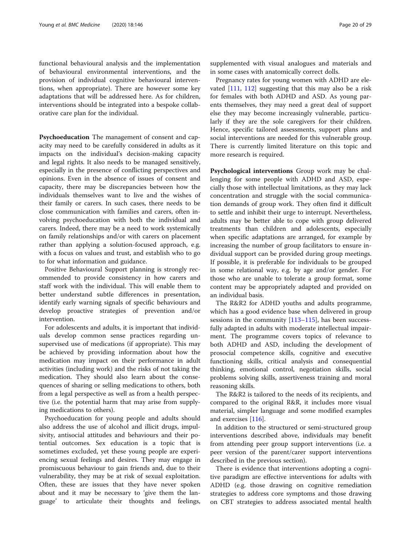functional behavioural analysis and the implementation of behavioural environmental interventions, and the provision of individual cognitive behavioural interventions, when appropriate). There are however some key adaptations that will be addressed here. As for children, interventions should be integrated into a bespoke collaborative care plan for the individual.

Psychoeducation The management of consent and capacity may need to be carefully considered in adults as it impacts on the individual's decision-making capacity and legal rights. It also needs to be managed sensitively, especially in the presence of conflicting perspectives and opinions. Even in the absence of issues of consent and capacity, there may be discrepancies between how the individuals themselves want to live and the wishes of their family or carers. In such cases, there needs to be close communication with families and carers, often involving psychoeducation with both the individual and carers. Indeed, there may be a need to work systemically on family relationships and/or with carers on placement rather than applying a solution-focused approach, e.g. with a focus on values and trust, and establish who to go to for what information and guidance.

Positive Behavioural Support planning is strongly recommended to provide consistency in how carers and staff work with the individual. This will enable them to better understand subtle differences in presentation, identify early warning signals of specific behaviours and develop proactive strategies of prevention and/or intervention.

For adolescents and adults, it is important that individuals develop common sense practices regarding unsupervised use of medications (if appropriate). This may be achieved by providing information about how the medication may impact on their performance in adult activities (including work) and the risks of not taking the medication. They should also learn about the consequences of sharing or selling medications to others, both from a legal perspective as well as from a health perspective (i.e. the potential harm that may arise from supplying medications to others).

Psychoeducation for young people and adults should also address the use of alcohol and illicit drugs, impulsivity, antisocial attitudes and behaviours and their potential outcomes. Sex education is a topic that is sometimes excluded, yet these young people are experiencing sexual feelings and desires. They may engage in promiscuous behaviour to gain friends and, due to their vulnerability, they may be at risk of sexual exploitation. Often, these are issues that they have never spoken about and it may be necessary to 'give them the language' to articulate their thoughts and feelings, supplemented with visual analogues and materials and in some cases with anatomically correct dolls.

Pregnancy rates for young women with ADHD are elevated [\[111](#page-28-0), [112](#page-28-0)] suggesting that this may also be a risk for females with both ADHD and ASD. As young parents themselves, they may need a great deal of support else they may become increasingly vulnerable, particularly if they are the sole caregivers for their children. Hence, specific tailored assessments, support plans and social interventions are needed for this vulnerable group. There is currently limited literature on this topic and more research is required.

Psychological interventions Group work may be challenging for some people with ADHD and ASD, especially those with intellectual limitations, as they may lack concentration and struggle with the social communication demands of group work. They often find it difficult to settle and inhibit their urge to interrupt. Nevertheless, adults may be better able to cope with group delivered treatments than children and adolescents, especially when specific adaptations are arranged, for example by increasing the number of group facilitators to ensure individual support can be provided during group meetings. If possible, it is preferable for individuals to be grouped in some relational way, e.g. by age and/or gender. For those who are unable to tolerate a group format, some content may be appropriately adapted and provided on an individual basis.

The R&R2 for ADHD youths and adults programme, which has a good evidence base when delivered in group sessions in the community [[113](#page-28-0)–[115\]](#page-28-0), has been successfully adapted in adults with moderate intellectual impairment. The programme covers topics of relevance to both ADHD and ASD, including the development of prosocial competence skills, cognitive and executive functioning skills, critical analysis and consequential thinking, emotional control, negotiation skills, social problems solving skills, assertiveness training and moral reasoning skills.

The R&R2 is tailored to the needs of its recipients, and compared to the original R&R, it includes more visual material, simpler language and some modified examples and exercises [[116\]](#page-28-0).

In addition to the structured or semi-structured group interventions described above, individuals may benefit from attending peer group support interventions (i.e. a peer version of the parent/carer support interventions described in the previous section).

There is evidence that interventions adopting a cognitive paradigm are effective interventions for adults with ADHD (e.g. those drawing on cognitive remediation strategies to address core symptoms and those drawing on CBT strategies to address associated mental health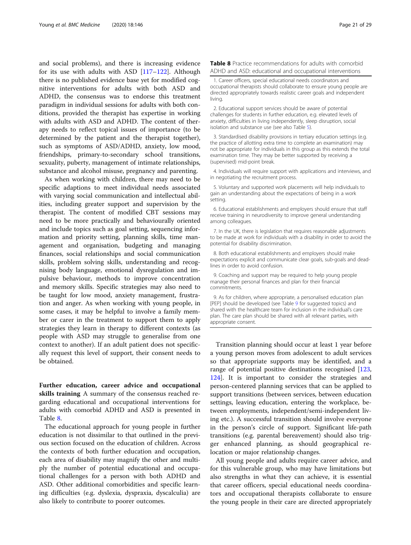<span id="page-20-0"></span>and social problems), and there is increasing evidence for its use with adults with ASD [[117](#page-28-0)–[122](#page-28-0)]. Although there is no published evidence base yet for modified cognitive interventions for adults with both ASD and ADHD, the consensus was to endorse this treatment paradigm in individual sessions for adults with both conditions, provided the therapist has expertise in working with adults with ASD and ADHD. The content of therapy needs to reflect topical issues of importance (to be determined by the patient and the therapist together), such as symptoms of ASD/ADHD, anxiety, low mood, friendships, primary-to-secondary school transitions, sexuality, puberty, management of intimate relationships, substance and alcohol misuse, pregnancy and parenting.

As when working with children, there may need to be specific adaptions to meet individual needs associated with varying social communication and intellectual abilities, including greater support and supervision by the therapist. The content of modified CBT sessions may need to be more practically and behaviourally oriented and include topics such as goal setting, sequencing information and priority setting, planning skills, time management and organisation, budgeting and managing finances, social relationships and social communication skills, problem solving skills, understanding and recognising body language, emotional dysregulation and impulsive behaviour, methods to improve concentration and memory skills. Specific strategies may also need to be taught for low mood, anxiety management, frustration and anger. As when working with young people, in some cases, it may be helpful to involve a family member or carer in the treatment to support them to apply strategies they learn in therapy to different contexts (as people with ASD may struggle to generalise from one context to another). If an adult patient does not specifically request this level of support, their consent needs to be obtained.

Further education, career advice and occupational skills training A summary of the consensus reached regarding educational and occupational interventions for adults with comorbid ADHD and ASD is presented in Table 8.

The educational approach for young people in further education is not dissimilar to that outlined in the previous section focused on the education of children. Across the contexts of both further education and occupation, each area of disability may magnify the other and multiply the number of potential educational and occupational challenges for a person with both ADHD and ASD. Other additional comorbidities and specific learning difficulties (e.g. dyslexia, dyspraxia, dyscalculia) are also likely to contribute to poorer outcomes.

Table 8 Practice recommendations for adults with comorbid ADHD and ASD: educational and occupational interventions

1. Career officers, special educational needs coordinators and occupational therapists should collaborate to ensure young people are directed appropriately towards realistic career goals and independent living.

2. Educational support services should be aware of potential challenges for students in further education, e.g. elevated levels of anxiety, difficulties in living independently, sleep disruption, social isolation and substance use (see also Table [5\)](#page-15-0).

3. Standardised disability provisions in tertiary education settings (e.g. the practice of allotting extra time to complete an examination) may not be appropriate for individuals in this group as this extends the total examination time. They may be better supported by receiving a (supervised) mid-point break.

4. Individuals will require support with applications and interviews, and in negotiating the recruitment process.

5. Voluntary and supported work placements will help individuals to gain an understanding about the expectations of being in a work setting.

6. Educational establishments and employers should ensure that staff receive training in neurodiversity to improve general understanding among colleagues.

7. In the UK, there is legislation that requires reasonable adjustments to be made at work for individuals with a disability in order to avoid the potential for disability discrimination.

8. Both educational establishments and employers should make expectations explicit and communicate clear goals, sub-goals and deadlines in order to avoid confusion.

9. Coaching and support may be required to help young people manage their personal finances and plan for their financial commitments.

9. As for children, where appropriate, a personalised education plan [PEP] should be developed (see Table [9](#page-21-0) for suggested topics) and shared with the healthcare team for inclusion in the individual's care plan. The care plan should be shared with all relevant parties, with appropriate consent.

Transition planning should occur at least 1 year before a young person moves from adolescent to adult services so that appropriate supports may be identified, and a range of potential positive destinations recognised [[123](#page-28-0), [124](#page-28-0)]. It is important to consider the strategies and person-centered planning services that can be applied to support transitions (between services, between education settings, leaving education, entering the workplace, between employments, independent/semi-independent living etc.). A successful transition should involve everyone in the person's circle of support. Significant life-path transitions (e.g. parental bereavement) should also trigger enhanced planning, as should geographical relocation or major relationship changes.

All young people and adults require career advice, and for this vulnerable group, who may have limitations but also strengths in what they can achieve, it is essential that career officers, special educational needs coordinators and occupational therapists collaborate to ensure the young people in their care are directed appropriately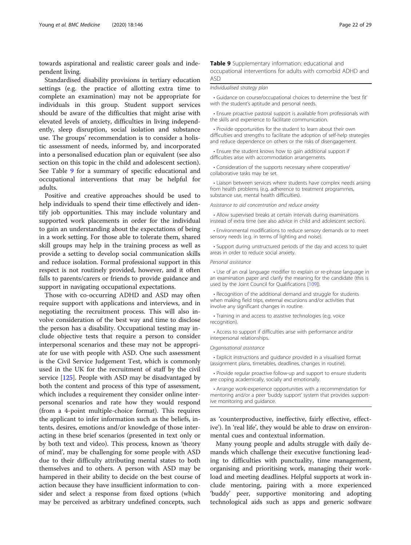<span id="page-21-0"></span>towards aspirational and realistic career goals and independent living.

Standardised disability provisions in tertiary education settings (e.g. the practice of allotting extra time to complete an examination) may not be appropriate for individuals in this group. Student support services should be aware of the difficulties that might arise with elevated levels of anxiety, difficulties in living independently, sleep disruption, social isolation and substance use. The groups' recommendation is to consider a holistic assessment of needs, informed by, and incorporated into a personalised education plan or equivalent (see also section on this topic in the child and adolescent section). See Table 9 for a summary of specific educational and occupational interventions that may be helpful for adults.

Positive and creative approaches should be used to help individuals to spend their time effectively and identify job opportunities. This may include voluntary and supported work placements in order for the individual to gain an understanding about the expectations of being in a work setting. For those able to tolerate them, shared skill groups may help in the training process as well as provide a setting to develop social communication skills and reduce isolation. Formal professional support in this respect is not routinely provided, however, and it often falls to parents/carers or friends to provide guidance and support in navigating occupational expectations.

Those with co-occurring ADHD and ASD may often require support with applications and interviews, and in negotiating the recruitment process. This will also involve consideration of the best way and time to disclose the person has a disability. Occupational testing may include objective tests that require a person to consider interpersonal scenarios and these may not be appropriate for use with people with ASD. One such assessment is the Civil Service Judgement Test, which is commonly used in the UK for the recruitment of staff by the civil service [[125](#page-28-0)]. People with ASD may be disadvantaged by both the content and process of this type of assessment, which includes a requirement they consider online interpersonal scenarios and rate how they would respond (from a 4-point multiple-choice format). This requires the applicant to infer information such as the beliefs, intents, desires, emotions and/or knowledge of those interacting in these brief scenarios (presented in text only or by both text and video). This process, known as 'theory of mind', may be challenging for some people with ASD due to their difficulty attributing mental states to both themselves and to others. A person with ASD may be hampered in their ability to decide on the best course of action because they have insufficient information to consider and select a response from fixed options (which may be perceived as arbitrary undefined concepts, such Table 9 Supplementary information: educational and occupational interventions for adults with comorbid ADHD and ASD

#### Individualised strategy plan

• Guidance on course/occupational choices to determine the 'best fit' with the student's aptitude and personal needs.

• Ensure proactive pastoral support is available from professionals with the skills and experience to facilitate communication.

• Provide opportunities for the student to learn about their own difficulties and strengths to facilitate the adoption of self-help strategies and reduce dependence on others or the risks of disengagement.

• Ensure the student knows how to gain additional support if difficulties arise with accommodation arrangements.

• Consideration of the supports necessary where cooperative/ collaborative tasks may be set.

• Liaison between services where students have complex needs arising from health problems (e.g. adherence to treatment programmes, substance use, mental health difficulties).

Assistance to aid concentration and reduce anxiety

• Allow supervised breaks at certain intervals during examinations instead of extra time (see also advice in child and adolescent section).

• Environmental modifications to reduce sensory demands or to meet sensory needs (e.g. in terms of lighting and noise).

• Support during unstructured periods of the day and access to quiet areas in order to reduce social anxiety.

#### Personal assistance

• Use of an oral language modifier to explain or re-phrase language in an examination paper and clarify the meaning for the candidate (this is used by the Joint Council for Qualifications [[109\]](#page-28-0)).

• Recognition of the additional demand and struggle for students when making field trips, external excursions and/or activities that involve any significant changes in routine.

• Training in and access to assistive technologies (e.g. voice recognition).

• Access to support if difficulties arise with performance and/or interpersonal relationships.

Organisational assistance

• Explicit instructions and guidance provided in a visualised format (assignment plans, timetables, deadlines, changes in routine).

• Provide regular proactive follow-up and support to ensure students are coping academically, socially and emotionally.

• Arrange work-experience opportunities with a recommendation for mentoring and/or a peer 'buddy support' system that provides supportive monitoring and guidance.

as 'counterproductive, ineffective, fairly effective, effective'). In 'real life', they would be able to draw on environmental cues and contextual information.

Many young people and adults struggle with daily demands which challenge their executive functioning leading to difficulties with punctuality, time management, organising and prioritising work, managing their workload and meeting deadlines. Helpful supports at work include mentoring, pairing with a more experienced 'buddy' peer, supportive monitoring and adopting technological aids such as apps and generic software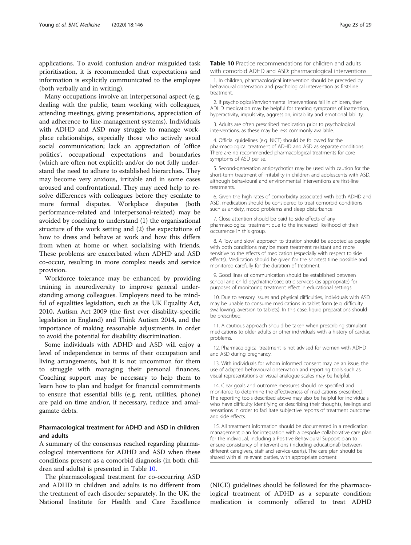<span id="page-22-0"></span>applications. To avoid confusion and/or misguided task prioritisation, it is recommended that expectations and information is explicitly communicated to the employee (both verbally and in writing).

Many occupations involve an interpersonal aspect (e.g. dealing with the public, team working with colleagues, attending meetings, giving presentations, appreciation of and adherence to line-management systems). Individuals with ADHD and ASD may struggle to manage workplace relationships, especially those who actively avoid social communication; lack an appreciation of 'office politics', occupational expectations and boundaries (which are often not explicit); and/or do not fully understand the need to adhere to established hierarchies. They may become very anxious, irritable and in some cases aroused and confrontational. They may need help to resolve differences with colleagues before they escalate to more formal disputes. Workplace disputes (both performance-related and interpersonal-related) may be avoided by coaching to understand (1) the organisational structure of the work setting and (2) the expectations of how to dress and behave at work and how this differs from when at home or when socialising with friends. These problems are exacerbated when ADHD and ASD co-occur, resulting in more complex needs and service provision.

Workforce tolerance may be enhanced by providing training in neurodiversity to improve general understanding among colleagues. Employers need to be mindful of equalities legislation, such as the UK Equality Act, 2010, Autism Act 2009 (the first ever disability-specific legislation in England) and Think Autism 2014, and the importance of making reasonable adjustments in order to avoid the potential for disability discrimination.

Some individuals with ADHD and ASD will enjoy a level of independence in terms of their occupation and living arrangements, but it is not uncommon for them to struggle with managing their personal finances. Coaching support may be necessary to help them to learn how to plan and budget for financial commitments to ensure that essential bills (e.g. rent, utilities, phone) are paid on time and/or, if necessary, reduce and amalgamate debts.

#### Pharmacological treatment for ADHD and ASD in children and adults

A summary of the consensus reached regarding pharmacological interventions for ADHD and ASD when these conditions present as a comorbid diagnosis (in both children and adults) is presented in Table 10.

The pharmacological treatment for co-occurring ASD and ADHD in children and adults is no different from the treatment of each disorder separately. In the UK, the National Institute for Health and Care Excellence

1. In children, pharmacological intervention should be preceded by behavioural observation and psychological intervention as first-line treatment.

2. If psychological/environmental interventions fail in children, then ADHD medication may be helpful for treating symptoms of inattention, hyperactivity, impulsivity, aggression, irritability and emotional lability.

3. Adults are often prescribed medication prior to psychological interventions, as these may be less commonly available.

4. Official guidelines (e.g. NICE) should be followed for the pharmacological treatment of ADHD and ASD as separate conditions. There are no recommended pharmacological treatments for core symptoms of ASD per se.

5. Second-generation antipsychotics may be used with caution for the short-term treatment of irritability in children and adolescents with ASD, although behavioural and environmental interventions are first-line treatments.

6. Given the high rates of comorbidity associated with both ADHD and ASD, medication should be considered to treat comorbid conditions such as anxiety, mood problems and sleep disturbance.

7. Close attention should be paid to side effects of any pharmacological treatment due to the increased likelihood of their occurrence in this group.

8. A 'low and slow' approach to titration should be adopted as people with both conditions may be more treatment resistant and more sensitive to the effects of medication (especially with respect to side effects). Medication should be given for the shortest time possible and monitored carefully for the duration of treatment.

9. Good lines of communication should be established between school and child psychiatric/paediatric services (as appropriate) for purposes of monitoring treatment effect in educational settings.

10. Due to sensory issues and physical difficulties, individuals with ASD may be unable to consume medications in tablet form (e.g. difficulty swallowing, aversion to tablets). In this case, liquid preparations should be prescribed.

11. A cautious approach should be taken when prescribing stimulant medications to older adults or other individuals with a history of cardiac problems.

12. Pharmacological treatment is not advised for women with ADHD and ASD during pregnancy.

13. With individuals for whom informed consent may be an issue, the use of adapted behavioural observation and reporting tools such as visual representations or visual analogue scales may be helpful.

14. Clear goals and outcome measures should be specified and monitored to determine the effectiveness of medications prescribed. The reporting tools described above may also be helpful for individuals who have difficulty identifying or describing their thoughts, feelings and sensations in order to facilitate subjective reports of treatment outcome and side effects.

15. All treatment information should be documented in a medication management plan for integration with a bespoke collaborative care plan for the individual, including a Positive Behavioural Support plan to ensure consistency of interventions (including educational) between different caregivers, staff and service-user(s). The care plan should be shared with all relevant parties, with appropriate consent.

(NICE) guidelines should be followed for the pharmacological treatment of ADHD as a separate condition; medication is commonly offered to treat ADHD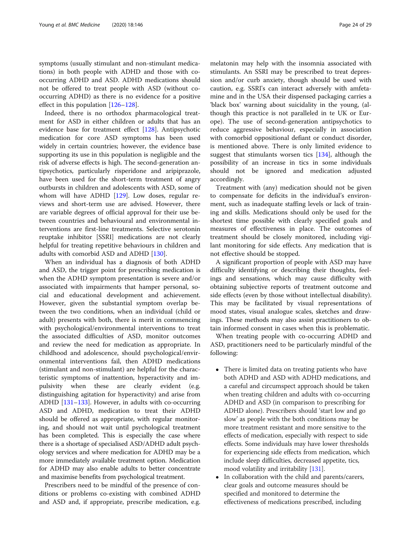symptoms (usually stimulant and non-stimulant medications) in both people with ADHD and those with cooccurring ADHD and ASD. ADHD medications should not be offered to treat people with ASD (without cooccurring ADHD) as there is no evidence for a positive effect in this population [[126](#page-28-0)–[128\]](#page-28-0).

Indeed, there is no orthodox pharmacological treatment for ASD in either children or adults that has an evidence base for treatment effect [\[128](#page-28-0)]. Antipsychotic medication for core ASD symptoms has been used widely in certain countries; however, the evidence base supporting its use in this population is negligible and the risk of adverse effects is high. The second-generation antipsychotics, particularly risperidone and aripiprazole, have been used for the short-term treatment of angry outbursts in children and adolescents with ASD, some of whom will have ADHD [[129](#page-28-0)]. Low doses, regular reviews and short-term use are advised. However, there are variable degrees of official approval for their use between countries and behavioural and environmental interventions are first-line treatments. Selective serotonin reuptake inhibitor [SSRI] medications are not clearly helpful for treating repetitive behaviours in children and adults with comorbid ASD and ADHD [\[130\]](#page-28-0).

When an individual has a diagnosis of both ADHD and ASD, the trigger point for prescribing medication is when the ADHD symptom presentation is severe and/or associated with impairments that hamper personal, social and educational development and achievement. However, given the substantial symptom overlap between the two conditions, when an individual (child or adult) presents with both, there is merit in commencing with psychological/environmental interventions to treat the associated difficulties of ASD, monitor outcomes and review the need for medication as appropriate. In childhood and adolescence, should psychological/environmental interventions fail, then ADHD medications (stimulant and non-stimulant) are helpful for the characteristic symptoms of inattention, hyperactivity and impulsivity when these are clearly evident (e.g. distinguishing agitation for hyperactivity) and arise from ADHD [[131](#page-28-0)–[133](#page-28-0)]. However, in adults with co-occurring ASD and ADHD, medication to treat their ADHD should be offered as appropriate, with regular monitoring, and should not wait until psychological treatment has been completed. This is especially the case where there is a shortage of specialised ASD/ADHD adult psychology services and where medication for ADHD may be a more immediately available treatment option. Medication for ADHD may also enable adults to better concentrate and maximise benefits from psychological treatment.

Prescribers need to be mindful of the presence of conditions or problems co-existing with combined ADHD and ASD and, if appropriate, prescribe medication, e.g.

melatonin may help with the insomnia associated with stimulants. An SSRI may be prescribed to treat depression and/or curb anxiety, though should be used with caution, e.g. SSRI's can interact adversely with amfetamine and in the USA their dispensed packaging carries a 'black box' warning about suicidality in the young, (although this practice is not paralleled in te UK or Europe). The use of second-generation antipsychotics to reduce aggressive behaviour, especially in association with comorbid oppositional defiant or conduct disorder, is mentioned above. There is only limited evidence to suggest that stimulants worsen tics [\[134\]](#page-28-0), although the possibility of an increase in tics in some individuals should not be ignored and medication adjusted accordingly.

Treatment with (any) medication should not be given to compensate for deficits in the individual's environment, such as inadequate staffing levels or lack of training and skills. Medications should only be used for the shortest time possible with clearly specified goals and measures of effectiveness in place. The outcomes of treatment should be closely monitored, including vigilant monitoring for side effects. Any medication that is not effective should be stopped.

A significant proportion of people with ASD may have difficulty identifying or describing their thoughts, feelings and sensations, which may cause difficulty with obtaining subjective reports of treatment outcome and side effects (even by those without intellectual disability). This may be facilitated by visual representations of mood states, visual analogue scales, sketches and drawings. These methods may also assist practitioners to obtain informed consent in cases when this is problematic.

When treating people with co-occurring ADHD and ASD, practitioners need to be particularly mindful of the following:

- There is limited data on treating patients who have both ADHD and ASD with ADHD medications, and a careful and circumspect approach should be taken when treating children and adults with co-occurring ADHD and ASD (in comparison to prescribing for ADHD alone). Prescribers should 'start low and go slow' as people with the both conditions may be more treatment resistant and more sensitive to the effects of medication, especially with respect to side effects. Some individuals may have lower thresholds for experiencing side effects from medication, which include sleep difficulties, decreased appetite, tics, mood volatility and irritability [[131](#page-28-0)].
- In collaboration with the child and parents/carers, clear goals and outcome measures should be specified and monitored to determine the effectiveness of medications prescribed, including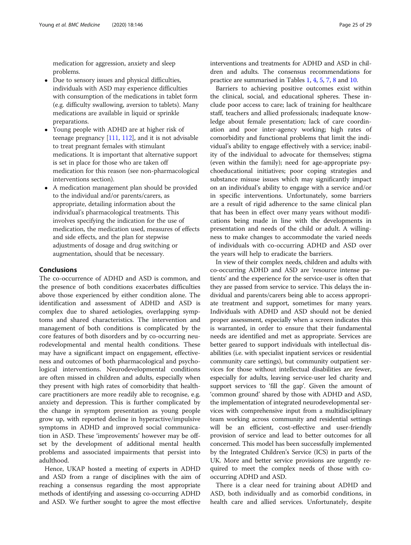medication for aggression, anxiety and sleep problems.

- Due to sensory issues and physical difficulties, individuals with ASD may experience difficulties with consumption of the medications in tablet form (e.g. difficulty swallowing, aversion to tablets). Many medications are available in liquid or sprinkle preparations.
- Young people with ADHD are at higher risk of teenage pregnancy [\[111,](#page-28-0) [112](#page-28-0)], and it is not advisable to treat pregnant females with stimulant medications. It is important that alternative support is set in place for those who are taken off medication for this reason (see non-pharmacological interventions section).
- A medication management plan should be provided to the individual and/or parents/carers, as appropriate, detailing information about the individual's pharmacological treatments. This involves specifying the indication for the use of medication, the medication used, measures of effects and side effects, and the plan for stepwise adjustments of dosage and drug switching or augmentation, should that be necessary.

#### Conclusions

The co-occurrence of ADHD and ASD is common, and the presence of both conditions exacerbates difficulties above those experienced by either condition alone. The identification and assessment of ADHD and ASD is complex due to shared aetiologies, overlapping symptoms and shared characteristics. The intervention and management of both conditions is complicated by the core features of both disorders and by co-occurring neurodevelopmental and mental health conditions. These may have a significant impact on engagement, effectiveness and outcomes of both pharmacological and psychological interventions. Neurodevelopmental conditions are often missed in children and adults, especially when they present with high rates of comorbidity that healthcare practitioners are more readily able to recognise, e.g. anxiety and depression. This is further complicated by the change in symptom presentation as young people grow up, with reported decline in hyperactive/impulsive symptoms in ADHD and improved social communication in ASD. These 'improvements' however may be offset by the development of additional mental health problems and associated impairments that persist into adulthood.

Hence, UKAP hosted a meeting of experts in ADHD and ASD from a range of disciplines with the aim of reaching a consensus regarding the most appropriate methods of identifying and assessing co-occurring ADHD and ASD. We further sought to agree the most effective interventions and treatments for ADHD and ASD in children and adults. The consensus recommendations for practice are summarised in Tables [1](#page-5-0), [4,](#page-12-0) [5](#page-15-0), [7,](#page-18-0) [8](#page-20-0) and [10.](#page-22-0)

Barriers to achieving positive outcomes exist within the clinical, social, and educational spheres. These include poor access to care; lack of training for healthcare staff, teachers and allied professionals; inadequate knowledge about female presentation; lack of care coordination and poor inter-agency working; high rates of comorbidity and functional problems that limit the individual's ability to engage effectively with a service; inability of the individual to advocate for themselves; stigma (even within the family); need for age-appropriate psychoeducational initiatives; poor coping strategies and substance misuse issues which may significantly impact on an individual's ability to engage with a service and/or in specific interventions. Unfortunately, some barriers are a result of rigid adherence to the same clinical plan that has been in effect over many years without modifications being made in line with the developments in presentation and needs of the child or adult. A willingness to make changes to accommodate the varied needs of individuals with co-occurring ADHD and ASD over the years will help to eradicate the barriers.

In view of their complex needs, children and adults with co-occurring ADHD and ASD are 'resource intense patients' and the experience for the service-user is often that they are passed from service to service. This delays the individual and parents/carers being able to access appropriate treatment and support, sometimes for many years. Individuals with ADHD and ASD should not be denied proper assessment, especially when a screen indicates this is warranted, in order to ensure that their fundamental needs are identified and met as appropriate. Services are better geared to support individuals with intellectual disabilities (i.e. with specialist inpatient services or residential community care settings), but community outpatient services for those without intellectual disabilities are fewer, especially for adults, leaving service-user led charity and support services to 'fill the gap'. Given the amount of 'common ground' shared by those with ADHD and ASD, the implementation of integrated neurodevelopmental services with comprehensive input from a multidisciplinary team working across community and residential settings will be an efficient, cost-effective and user-friendly provision of service and lead to better outcomes for all concerned. This model has been successfully implemented by the Integrated Children's Service (ICS) in parts of the UK. More and better service provisions are urgently required to meet the complex needs of those with cooccurring ADHD and ASD.

There is a clear need for training about ADHD and ASD, both individually and as comorbid conditions, in health care and allied services. Unfortunately, despite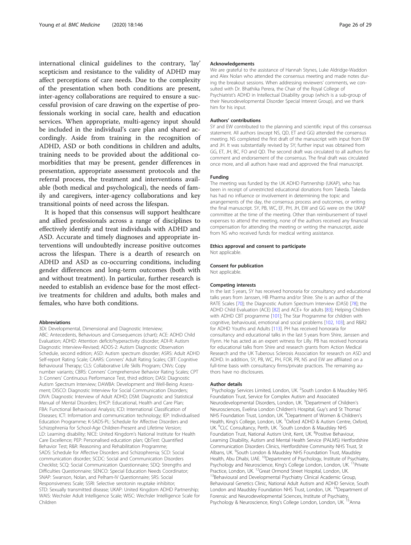international clinical guidelines to the contrary, 'lay' scepticism and resistance to the validity of ADHD may affect perceptions of care needs. Due to the complexity of the presentation when both conditions are present, inter-agency collaborations are required to ensure a successful provision of care drawing on the expertise of professionals working in social care, health and education services. When appropriate, multi-agency input should be included in the individual's care plan and shared accordingly. Aside from training in the recognition of ADHD, ASD or both conditions in children and adults, training needs to be provided about the additional comorbidities that may be present, gender differences in presentation, appropriate assessment protocols and the referral process, the treatment and interventions available (both medical and psychological), the needs of family and caregivers, inter-agency collaborations and key transitional points of need across the lifespan.

It is hoped that this consensus will support healthcare and allied professionals across a range of disciplines to effectively identify and treat individuals with ADHD and ASD. Accurate and timely diagnoses and appropriate interventions will undoubtedly increase positive outcomes across the lifespan. There is a dearth of research on ADHD and ASD as co-occurring conditions, including gender differences and long-term outcomes (both with and without treatment). In particular, further research is needed to establish an evidence base for the most effective treatments for children and adults, both males and females, who have both conditions.

#### **Abbreviations**

3Di: Developmental, Dimensional and Diagnostic Interview; ABC: Antecedents, Behaviours and Consequences (chart); ACE: ADHD Child Evaluation; ADHD: Attention deficit/hyperactivity disorder; ADI-R: Autism Diagnostic Interview-Revised; ADOS-2: Autism Diagnostic Observation Schedule, second edition; ASD: Autism spectrum disorder; ASRS: Adult ADHD Self-report Rating Scale; CAARS: Conners' Adult Rating Scales; CBT: Cognitive Behavioural Therapy; CLS: Collaborative Life Skills Program; CNVs: Copy number variants; CBRS: Conners' Comprehensive Behavior Rating Scales; CPT 3: Conners' Continuous Performance Test, third edition; DASI: Diagnostic Autism Spectrum Interview; DAWBA: Development and Well-Being Assessment; DISCO: Diagnostic Interview for Social Communication Disorders; DIVA: Diagnostic Interview of Adult ADHD; DSM: Diagnostic and Statistical Manual of Mental Disorders; EHCP: Educational, Health and Care Plan; FBA: Functional Behavioural Analysis; ICD: International Classification of Diseases; ICT: Information and communication technology; IEP: Individualised Education Programme; K-SADS-PL: Schedule for Affective Disorders and Schizophrenia for School-Age Children-Present and Lifetime Version; LD: Learning disability; NICE: United Kingdom's National Institute for Health Care Excellence; PEP: Personalised education plan; QbTest: Quantified Behavior Test; R&R: Reasoning and Rehabilitation Programme; SADS: Schedule for Affective Disorders and Schizophrenia; SCD: Social communication disorder; SCDC: Social and Communication Disorders Checklist; SCQ: Social Communication Questionnaire; SDQ: Strengths and Difficulties Questionnaire; SENCO: Special Education Needs Coordinator; SNAP: Swanson, Nolan, and Pelham-IV Questionnaire; SRS: Social Responsiveness Scale; SSRI: Selective serotonin reuptake inhibitor; STD: Sexually transmitted disease; UKAP: United Kingdom ADHD Partnership; WAIS: Wechsler Adult Intelligence Scale; WISC: Wechsler Intelligence Scale for Children

#### Acknowledgements

We are grateful to the assistance of Hannah Stynes, Luke Aldridge-Waddon and Alex Nolan who attended the consensus meeting and made notes during the breakout sessions. When addressing reviewers' comments, we consulted with Dr. Bhathika Perera, the Chair of the Royal College of Psychiatrist's ADHD in Intellectual Disability group (which is a sub-group of their Neurodevelopmental Disorder Special Interest Group), and we thank him for his input.

#### Authors' contributions

SY and EW contributed to the planning and scientific input of this consensus statement. All authors (except NS, QD, ET and GG) attended the consensus meeting. NS completed the first draft of the manuscript with input from EW and JH. It was substantially revised by SY; further input was obtained from GG, ET, JH, BC, FO and QD. The second draft was circulated to all authors for comment and endorsement of the consensus. The final draft was circulated once more, and all authors have read and approved the final manuscript.

#### Funding

The meeting was funded by the UK ADHD Partnership (UKAP), who has been in receipt of unrestricted educational donations from Takeda. Takeda has had no influence or involvement in determining the topic and arrangements of the day, the consensus process and outcomes, or writing the final manuscript. SY, PB, WC, EF, PH, JH, EW and GG were on the UKAP committee at the time of the meeting. Other than reimbursement of travel expenses to attend the meeting, none of the authors received any financial compensation for attending the meeting or writing the manuscript, aside from NS who received funds for medical writing assistance.

#### Ethics approval and consent to participate

Not applicable.

#### Consent for publication

Not applicable.

#### Competing interests

In the last 5 years, SY has received honoraria for consultancy and educational talks years from Janssen, HB Pharma and/or Shire. She is an author of the RATE Scales [\[70](#page-27-0)]; the Diagnostic Autism Spectrum Interview (DASI) [\[78](#page-27-0)]; the ADHD Child Evaluation (ACE) [[82\]](#page-27-0) and ACE+ for adults [[83](#page-27-0)]; Helping Children with ADHD CBT programme [[101\]](#page-28-0); The Star Programme for children with cognitive, behavioural, emotional and social problems [[102,](#page-28-0) [103](#page-28-0)]; and R&R2 for ADHD Youths and Adults [[113\]](#page-28-0). PH has received honoraria for consultancy and educational talks in the last 5 years from Shire, Janssen and Flynn. He has acted as an expert witness for Lilly. PB has received honoraria for educational talks from Shire and research grants from Action Medical Research and the UK Tuberous Sclerosis Association for research on ASD and ADHD. In addition, SY, PB, WC, PH, FOR, PR, NS and EW are affiliated on a full-time basis with consultancy firms/private practices. The remaining authors have no disclosures.

#### Author details

<sup>1</sup>Psychology Services Limited, London, UK. <sup>2</sup>South London & Maudsley NHS Foundation Trust, Service for Complex Autism and Associated Neurodevelopmental Disorders, London, UK. <sup>3</sup>Department of Children's Neurosciences, Evelina London Children's Hospital, Guy's and St Thomas' NHS Foundation Trust, London, UK. <sup>4</sup>Department of Women & Children's Health, King's College, London, UK. <sup>5</sup>Oxford ADHD & Autism Centre, Oxford, UK. <sup>6</sup>CLC Consultancy, Perth, UK. <sup>7</sup>South London & Maudsley NHS Foundation Trust, National Autism Unit, Kent, UK. <sup>8</sup>Positive Behaviour, Learning Disability, Autism and Mental Health Service (PALMS) Hertfordshire Communication Disorders Clinics, Hertfordshire Community NHS Trust, St Albans, UK. <sup>9</sup>South London & Maudsley NHS Foundation Trust, Maudsley Health, Abu Dhabi, UAE. <sup>10</sup>Department of Psychology, Institute of Psychiatry, Psychology and Neuroscience, King's College London, London, UK. <sup>11</sup> Private Practice, London, UK. <sup>12</sup>Great Ormond Street Hospital, London, UK. <sup>13</sup>Behavioural and Developmental Psychiatry Clinical Academic Group, Behavioural Genetics Clinic, National Adult Autism and ADHD Service, South London and Maudsley Foundation NHS Trust, London, UK.<sup>14</sup>Department of

Forensic and Neurodevelopmental Sciences, Institute of Psychiatry, Psychology & Neuroscience, King's College London, London, UK. <sup>15</sup>Anna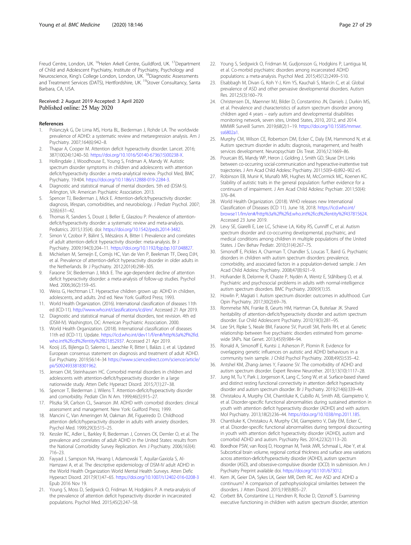<span id="page-26-0"></span>Freud Centre, London, UK. <sup>16</sup>Helen Arkell Centre, Guildford, UK. <sup>17</sup>Department of Child and Adolescent Psychiatry, Institute of Psychiatry, Psychology and Neuroscience, King's College London, London, UK. 18Diagnostic Assessments and Treatment Services (DATS), Hertfordshire, UK. 19Stover Consultancy, Santa Barbara, CA, USA.

#### Received: 2 August 2019 Accepted: 3 April 2020 Published online: 25 May 2020

#### References

- Polanczyk G, De Lima MS, Horta BL, Biederman J, Rohde LA. The worldwide prevalence of ADHD: a systematic review and metaregression analysis. Am J Psychiatry. 2007;164(6):942–8.
- 2. Thapar A, Cooper M. Attention deficit hyperactivity disorder. Lancet. 2016; 387(10024):1240–50. [https://doi.org/10.1016/S0140-6736\(15\)00238-X.](https://doi.org/10.1016/S0140-6736(15)00238-X)
- 3. Hollingdale J, Woodhouse E, Young S, Fridman A, Mandy W. Autistic spectrum disorder symptoms in children and adolescents with attention deficit/hyperactivity disorder: a meta-analytical review. Psychol Med, BMC Psychiatry. 19:404. <https://doi.org/10.1186/s12888-019-2284-3>.
- 4. Diagnostic and statistical manual of mental disorders. 5th ed (DSM-5). Arlington, VA: American Psychiatric Association. 2013.
- 5. Spencer TJ, Biederman J, Mick E. Attention-deficit/hyperactivity disorder: diagnosis, lifespan, comorbidities, and neurobiology. J Pediatr Psychol. 2007; 32(6):631–42.
- 6. Thomas R, Sanders S, Doust J, Beller E, Glasziou P. Prevalence of attentiondeficit/hyperactivity disorder: a systematic review and meta-analysis. Pediatrics. 2015;135(4). doi: <https://doi.org/10.1542/peds.2014-3482>.
- 7. Simon V, Czobor P, Bálint S, Mészáros A, Bitter I. Prevalence and correlates of adult attention-deficit hyperactivity disorder: meta-analysis. Br J Psychiatry. 2009;194(3):204–11. [https://doi.org/10.1192/bjp.bp.107.048827.](https://doi.org/10.1192/bjp.bp.107.048827)
- 8. Michielsen M, Semeijn E, Comijs HC, Van de Ven P, Beekman TF, Deeq DJH, et al. Prevalence of attention-deficit hyperactivity disorder in older adults in the Netherlands. Br J Psychiatry. 2012;201(4):298–305.
- 9. Faraone SV, Biederman J, Mick E. The age-dependent decline of attention deficit hyperactivity disorder: a meta-analysis of follow-up studies. Psychol Med. 2006;36(2):159–65.
- 10. Weiss G, Hechtman LT. Hyperactive children grown up: ADHD in children, adolescents, and adults. 2nd ed. New York: Guilford Press; 1993.
- 11. World Health Organization. (2016). International classification of diseases 11th ed (ICD-11). <http://www.who.int/classifications/icd/en/>. Accessed 21 Apr 2019.
- 12. Diagnostic and statistical manual of mental disorders, text revision. 4th ed (DSM-IV). Washington, DC: American Psychiatric Association. 2000.
- 13. World Health Organization. (2018). International classification of diseases 11th ed (ICD-11). Update. [https://icd.who.int/dev11/f/en#/http%3a%2f%2fid.](https://icd.who.int/dev11/f/en#/http%3a%2f%2fid.who.int%2ficd%2fentity%2f821852937) [who.int%2ficd%2fentity%2f821852937.](https://icd.who.int/dev11/f/en#/http%3a%2f%2fid.who.int%2ficd%2fentity%2f821852937) Accessed 21 Apr 2019.
- 14. Kooij JJS, Bijlenga D, Salerno L, Jaeschke R, Bitter I, Balázs J, et al. Updated European consensus statement on diagnosis and treatment of adult ADHD. Eur Psychiatry. 2019;56:14–34 [https://www.sciencedirect.com/science/article/](https://www.sciencedirect.com/science/article/pii/S0924933818301962) [pii/S0924933818301962.](https://www.sciencedirect.com/science/article/pii/S0924933818301962)
- 15. Jensen CM, Steinhausen HC. Comorbid mental disorders in children and adolescents with attention-deficit/hyperactivity disorder in a large nationwide study. Atten Defic Hyperact Disord. 2015;7(1):27–38.
- 16. Spencer T, Biederman J, Wilens T. Attention-deficit/hyperactivity disorder and comorbidity. Pediatr Clin N Am. 1999;46(5):915–27.
- 17. Pliszka SR, Carlson CL, Swanson JM. ADHD with comorbid disorders: clinical assessment and management. New York: Guilford Press; 1999.
- 18. Mancini C, Van Ameringen M, Oakman JM, Figueiredo D. Childhood attention deficit/hyperactivity disorder in adults with anxiety disorders. Psychol Med. 1999;29(3):515–25.
- 19. Kessler RC, Adler L, Barkley R, Biederman J, Conners CK, Demler O, et al. The prevalence and correlates of adult ADHD in the United States: results from the National Comorbidity Survey Replication. Am J Psychiatry. 2006;163(4): 716–23.
- 20. Fayyad J, Sampson NA, Hwang I, Adamowski T, Aquilar-Gaxiola S, Al-Hamzawi A, et al. The descriptive epidemiology of DSM-IV adult ADHD in the World Health Organization World Mental Health Surveys. Atten Defic Hyperact Disord. 2017;9(1):47–65. <https://doi.org/10.1007/s12402-016-0208-3> Epub 2016 Nov 19.
- 21. Young S, Moss D, Sedgwick O, Fridman M, Hodgkins P. A meta-analysis of the prevalence of attention deficit hyperactivity disorder in incarcerated populations. Psychol Med. 2015;45(2):247–58.
- 22. Young S, Sedgwick O, Fridman M, Gudjonsson G, Hodgkins P, Lantigua M,
- et al. Co-morbid psychiatric disorders among incarcerated ADHD populations: a meta-analysis. Psychol Med. 2015;45(12):2499–510.
- 23. Elsabbagh M, Divan G, Koh Y-J, Kim YS, Kauchali S, Marcín C, et al. Global prevalence of ASD and other pervasive developmental disorders. Autism Res. 2012;5(3):160–79.
- 24. Christensen DL, Maenner MJ, Bilder D, Constantino JN, Daniels J, Durkin MS, et al. Prevalence and characteristics of autism spectrum disorder among children aged 4 years – early autism and developmental disabilities monitoring network, seven sites, United States, 2010, 2012, and 2014. MMWR Surveill Summ. 2019;68(2):1–19. [https://doi.org/10.15585/mmwr.](https://doi.org/10.15585/mmwr.ss6802a1) [ss6802a1](https://doi.org/10.15585/mmwr.ss6802a1).
- 25. Murphy CM, Wilson CE, Robertson DM, Ecker C, Daly EM, Hammond N, et al. Autism spectrum disorder in adults: diagnosis, management, and health services development. Neuropsychiatr Dis Treat. 2016;12:1669–86.
- 26. Pourcain BS, Mandy WP, Heron J, Golding J, Smith GD, Skuse DH. Links between co-occurring social-communication and hyperactive-inattentive trait trajectories. J Am Acad Child Adolesc Psychiatry. 2011;50(9–6):892–902 e5.
- 27. Robinson EB, Munir K, Munafò MR, Hughes M, McCormick MC, Koenen KC. Stability of autistic traits in the general population: further evidence for a continuum of impairment. J Am Acad Child Adolesc Psychiatr. 2011;50(4): 376–84.
- 28. World Health Organization. (2018). WHO releases new International Classification of Diseases (ICD 11). June 18, 2018. [https://icd.who.int/](https://icd.who.int/browse11/lm/en#/http%3a%2f%2fid.who.int%2ficd%2fentity%2f437815624) [browse11/lm/en#/http%3a%2f%2fid.who.int%2ficd%2fentity%2f437815624.](https://icd.who.int/browse11/lm/en#/http%3a%2f%2fid.who.int%2ficd%2fentity%2f437815624) Accessed 23 June 2019.
- 29. Levy SE, Giarelli E, Lee LC, Schieve LA, Kirby RS, Cunniff C, et al. Autism spectrum disorder and co-occurring developmental, psychiatric, and medical conditions among children in multiple populations of the United States. J Dev Behav Pediatr. 2010;31(4):267–75.
- 30. Simonoff E, Pickles A, Charman T, Chandler S, Loucas T, Baird G. Psychiatric disorders in children with autism spectrum disorders: prevalence, comorbidity, and associated factors in a population-derived sample. J Am Acad Child Adolesc Psychiatry. 2008;47(8):921–9.
- 31. Hofvander B, Delorme R, Chaste P, Nydén A, Wentz E, Ståhlberg O, et al. Psychiatric and psychosocial problems in adults with normal-intelligence autism spectrum disorders. BMC Psychiatry. 2009;9(1):35.
- 32. Howlin P, Magiati I. Autism spectrum disorder: outcomes in adulthood. Curr Opin Psychiatry. 2017;30(2):69–76.
- 33. Rommelse NN, Franke B, Geurts HM, Hartman CA, Buitelaar JK. Shared heritability of attention-deficit/hyperactivity disorder and autism spectrum disorder. Eur Child Adolescent Psychiatry. 2010;19(3):281–95.
- Lee SH, Ripke S, Neale BM, Faraone SV, Purcell SM, Perlis RH, et al. Genetic relationship between five psychiatric disorders estimated from genomewide SNPs. Nat Genet. 2013;45(9):984–94.
- 35. Ronald A, Simonoff E, Kuntsi J, Asherson P, Plomin R. Evidence for overlapping genetic influences on autistic and ADHD behaviours in a community twin sample. J Child Psychol Psychiatry. 2008;49(5):535–42.
- 36. Antshel KM, Zhang-James Y, Faraone SV. The comorbidity of ADHD and autism spectrum disorder. Expert Review Neurother. 2013;13(10):1117–28.
- 37. Jung M, Tu Y, Park J, Jorgenson K, Lang C, Song W, et al. Surface-based shared and distinct resting functional connectivity in attention deficit hyperactivity disorder and autism spectrum disorder. Br J Psychiatry. 2019;214(6):339–44.
- 38. Christakou A, Murphy CM, Chantiluke K, Cubillo AI, Smith AB, Giampietro V, et al. Disorder-specific functional abnormalities during sustained attention in youth with attention deficit hyperactivity disorder (ADHD) and with autism. Mol Psychiatry. 2013;18(2):236–44. <https://doi.org/10.1038/mp.2011.185>.
- 39. Chantiluke K, Christakou A, Murphy CM, Giampietro V, Daly EM, Ecker C, et al. Disorder-specific functional abnormalities during temporal discounting in youth with attention deficit hyperactivity disorder (ADHD), autism and comorbid ADHD and autism. Psychiatry Res. 2014;223(2):113–20.
- 40. Boedhoe PSW, van Rooij D, Hoogman M, Twisk JWR, Schmaal L, Abe Y, et al. Subcortical brain volume, regional cortical thickness and surface area variations across attention-deficit/hyperactivity disorder (ADHD), autism spectrum disorder (ASD), and obsessive-compulsive disorder (OCD). In submission. Am J Psychiatry Preprint available doi. [https://doi.org/10.1101/673012.](https://doi.org/10.1101/673012)
- 41. Kern JK, Geier DA, Sykes LK, Geier MR, Deth RC. Are ASD and ADHD a continuum? A comparison of pathophysiological similarities between the disorders. J Atten Disord. 2015;19(9):805–27.
- 42. Corbett BA, Constantine LJ, Hendren R, Rocke D, Ozonoff S. Examining executive functioning in children with autism spectrum disorder, attention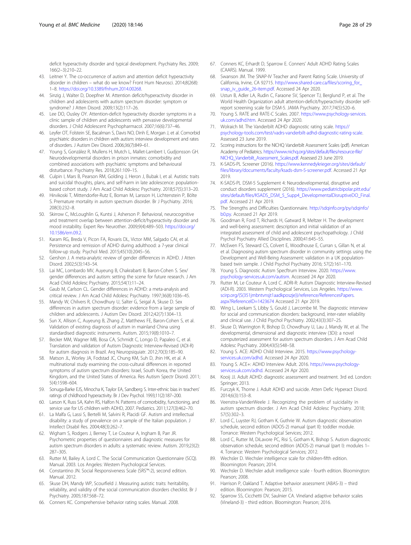<span id="page-27-0"></span>deficit hyperactivity disorder and typical development. Psychiatry Res. 2009; 166(2–3):210–22.

- 43. Leitner Y. The co-occurrence of autism and attention deficit hyperactivity disorder in children – what do we know? Front Hum Neurosci. 2014;8(268): 1–8. [https://doi.org/10.3389/fnhum.2014.00268.](https://doi.org/10.3389/fnhum.2014.00268)
- 44. Sinzig J, Walter D, Doepfner M. Attention deficit/hyperactivity disorder in children and adolescents with autism spectrum disorder: symptom or syndrome? J Atten Disord. 2009;13(2):117–26.
- 45. Lee DO, Ousley OY. Attention-deficit hyperactivity disorder symptoms in a clinic sample of children and adolescents with pervasive developmental disorders. J Child Adolescent Psychopharmacol. 2007;16(6):737–46.
- 46. Leyfer OT, Folstein SE, Bacalman S, Davis NO, Dinh E, Morgan J, et al. Comorbid psychiatric disorders in children with autism: interview development and rates of disorders. J Autism Dev Disord. 2006;36(7):849–61.
- 47. Young S, González R, Mullens H, Mutch L, Mallet-Lambert I, Gudjonsson GH. Neurodevelopmental disorders in prison inmates: comorbidity and combined associations with psychiatric symptoms and behavioural disturbance. Psychiatry Res. 2018;261:109–15.
- 48. Culpin I, Mars B, Pearson RM, Golding J, Heron J, Bubak I, et al. Autistic traits and suicidal thoughts, plans, and self-harm in late adolescence: populationbased cohort study. J Am Acad Child Adolesc Psychiatry. 2018;57(5):313–20.
- 49. Hirvikoski T, Mittendorfer-Rutz E, Boman M, Larsson H, Lichtenstein P, Bölte S. Premature mortality in autism spectrum disorder. Br J Psychiatry. 2016; 208(3):232–8.
- 50. Skirrow C, McLoughlin G, Kuntsi J, Asherson P. Behavioral, neurocognitive and treatment overlap between attention-deficit/hyperactivity disorder and mood instability. Expert Rev Neurother. 2009;9(4):489–503. [https://doi.org/](https://doi.org/10.1586/ern.09.2) [10.1586/ern.09.2.](https://doi.org/10.1586/ern.09.2)
- 51. Karam RG, Breda V, Picon FA, Rovaris DL, Victor MM, Salgado CAI, et al. Persistence and remission of ADHD during adulthood: a 7-year clinical follow-up study. Psychol Med. 2015;45(10):2045–56.
- 52. Gershon J. A meta-analytic review of gender differences in ADHD. J Atten Disord. 2002;5(3):143–54.
- 53. Lai MC, Lombardo MV, Auyeung B, Chakrabarti B, Baron-Cohen S. Sex/ gender differences and autism: setting the scene for future research. J Am Acad Child Adolesc Psychiatry. 2015;54(1):11–24.
- 54. Gaub M, Carlson CL. Gender differences in ADHD: a meta-analysis and critical review. J Am Acad Child Adolesc Psychiatry. 1997;36(8):1036–45.
- 55. Mandy W, Chilvers R, Chowdhury U, Salter G, Seigal A, Skuse D. Sex differences in autism spectrum disorder: evidence from a large sample of children and adolescents. J Autism Dev Disord. 2012;42(7):1304–13.
- 56. Sun X, Allison C, Auyeung B, Zhang Z, Matthews FE, Baron-Cohen S, et al. Validation of existing diagnosis of autism in mainland China using standardised diagnostic instruments. Autism. 2015;19(8):1010–7.
- 57. Becker MM, Wagner MB, Bosa CA, Schmidt C, Longo D, Papaleo C, et al. Translation and validation of Autism Diagnostic Interview-Revised (ADI-R) for autism diagnosis in Brazil. Arq Neuropsiquiatr. 2012;70(3):185–90.
- 58. Matson JL, Worley JA, Fodstad JC, Chung KM, Suh D, Jhin HK, et al. A multinational study examining the cross-cultural differences in reported symptoms of autism spectrum disorders: Israel, South Korea, the United Kingdom, and the United States of America. Res Autism Spectr Disord. 2011; 5(4):1598–604.
- 59. Sonuga-Barke EJS, Minocha K, Taylor EA, Sandberg S. Inter-ethnic bias in teachers' ratings of childhood hyperactivity. Br J Dev Psychol. 1993;11(2):187–200.
- 60. Larson K, Russ SA, Kahn RS, Halfon N. Patterns of comorbidity, functioning, and service use for US children with ADHD, 2007. Pediatrics. 2011;127(3):462–70.
- 61. La Malfa G, Lassi S, Bertelli M, Salvini R, Placidi GF. Autism and intellectual disability: a study of prevalence on a sample of the Italian population. J Intellect Disabil Res. 2004;48(3):262–7.
- 62. Wigham S, Rodgers J, Berney T, Le Couteur A, Ingham B, Parr JR. Psychometric properties of questionnaires and diagnostic measures for autism spectrum disorders in adults: a systematic review. Autism. 2019;23(2): 287–305.
- 63. Rutter M, Bailey A, Lord C. The Social Communication Questionnaire (SCQ). Manual. 2003. Los Angeles: Western Psychological Services.
- 64. Constantino JN. Social Responsiveness Scale (SRS™-2), second edition. Manual. 2012.
- 65. Skuse DH, Mandy WP, Scourfield J. Measuring autistic traits: heritability, reliability, and validity of the social communication disorders checklist. Br J Psychiatry. 2005;187:568–72.
- 66. Conners KC. Comprehensive behavior rating scales. Manual. 2008.
- 67. Conners KC, Erhardt D, Sparrow E. Conners' Adult ADHD Rating Scales (CAARS). Manual. 1999.
- Swanson JM. The SNAP-IV Teacher and Parent Rating Scale. University of California, Irvine, CA 92715. [http://www.shared-care.ca/files/scoring\\_for\\_](http://www.shared-care.ca/files/scoring_for_snap_iv_guide_26-item.pdf) [snap\\_iv\\_guide\\_26-item.pdf](http://www.shared-care.ca/files/scoring_for_snap_iv_guide_26-item.pdf). Accessed 24 Apr 2020.
- 69. Ustun B, Adler LA, Rudin C, Faraone SV, Spencer TJ, Berglund P, et al. The World Health Organization adult attention-deficit/hyperactivity disorder selfreport screening scale for DSM-5. JAMA Psychiatry. 2017;74(5):520–6.
- 70. Young S. RATE and RATE-C Scales. 2007. [https://www.psychology-services.](https://www.psychology-services.uk.com/adhd.htm) [uk.com/adhd.htm](https://www.psychology-services.uk.com/adhd.htm). Accessed 24 Apr 2020.
- 71. Wolraich M. The Vanderbilt ADHD diagnostic rating scale. [https://](https://psychology-tools.com/test/vadrs-vanderbilt-adhd-diagnostic-rating-scale) [psychology-tools.com/test/vadrs-vanderbilt-adhd-diagnostic-rating-scale](https://psychology-tools.com/test/vadrs-vanderbilt-adhd-diagnostic-rating-scale). Assessed 23 June 2019.
- 72. Scoring instructions for the NICHQ Vanderbilt Assessment Scales (pdf). American Academy of Pediatrics. [https://www.nichq.org/sites/default/files/resource-file/](https://www.nichq.org/sites/default/files/resource-file/NICHQ_Vanderbilt_Assessment_Scales.pdf) [NICHQ\\_Vanderbilt\\_Assessment\\_Scales.pdf](https://www.nichq.org/sites/default/files/resource-file/NICHQ_Vanderbilt_Assessment_Scales.pdf). Assessed 23 June 2019.
- 73. K-SADS-PL Screener (2016). [https://www.kennedykrieger.org/sites/default/](https://www.kennedykrieger.org/sites/default/files/library/documents/faculty/ksads-dsm-5-screener.pdf) [files/library/documents/faculty/ksads-dsm-5-screener.pdf](https://www.kennedykrieger.org/sites/default/files/library/documents/faculty/ksads-dsm-5-screener.pdf). Accessed 21 Apr 2019.
- 74. K-SADS-PL DSM-5 Supplement 4: Neurodevelopmental, disruptive and conduct disorders supplement (2016). [https://www.pediatricbipolar.pitt.edu/](https://www.pediatricbipolar.pitt.edu/sites/default/files/KSADS_DSM_5_Supp4_DevelopmentalDisruptiveDO_Final.pdf) [sites/default/files/KSADS\\_DSM\\_5\\_Supp4\\_DevelopmentalDisruptiveDO\\_Final.](https://www.pediatricbipolar.pitt.edu/sites/default/files/KSADS_DSM_5_Supp4_DevelopmentalDisruptiveDO_Final.pdf) [pdf](https://www.pediatricbipolar.pitt.edu/sites/default/files/KSADS_DSM_5_Supp4_DevelopmentalDisruptiveDO_Final.pdf). Accessed 21 Apr 2019.
- 75. The Strengths and Difficulties Questionnaire. [http://sdqinfo.org/py/sdqinfo/](http://sdqinfo.org/py/sdqinfo/b0.py) [b0.py](http://sdqinfo.org/py/sdqinfo/b0.py). Accessed 21 Apr 2019.
- 76. Goodman R, Ford T, Richards H, Gatward R, Meltzer H. The development and well-being assessment: description and initial validation of an integrated assessment of child and adolescent psychopathology. J Child Psychol Psychiatry Allied Disciplines. 2000;41:645–55.
- 77. McEwen FS, Steward CS, Colvert E, Woodhouse E, Curran s, Gillan N, et al. et al. Diagnosing autism spectrum disorder in community settings using the Development and Well-Being Assessment: validation in a UK populationbased twin sample. J Child Psychol Psychiatry 2016; 57(2):161–170.
- 78. Young S. Diagnostic Autism Specftrum Interview. 2020. [https://www.](https://www.psychology-services.uk.com/autism) [psychology-services.uk.com/autism](https://www.psychology-services.uk.com/autism). Accessed 24 Apr 2020.
- 79. Rutter M, Le Couteur A, Lord C. ADRI-R: Autism Diagnostic Interview-Revised (ADI-R). 2003. Western Psychological Services, Los Angeles. [https://www.](https://www.scirp.org/(S(351jmbntvnsjt1aadkposzje))/reference/ReferencesPapers.aspx?ReferenceID=1423674) [scirp.org/\(S\(351jmbntvnsjt1aadkposzje\)\)/reference/ReferencesPapers.](https://www.scirp.org/(S(351jmbntvnsjt1aadkposzje))/reference/ReferencesPapers.aspx?ReferenceID=1423674) [aspx?ReferenceID=1423674](https://www.scirp.org/(S(351jmbntvnsjt1aadkposzje))/reference/ReferencesPapers.aspx?ReferenceID=1423674) Accessed 21 Apr 2019.
- 80. Wing L, Leekam S, Libby S, Gould J, Larcombe M. The diagnostic interview for social and communication disorders: background, inter-rater reliability and clinical use. J Child Psychol Psychiatry. 2002;43(3):307–25.
- 81. Skuse D, Warrington R, Bishop D, Chowdhury U, Lau J, Mandy W, et al. The developmental, dimensional and diagnostic interview (3Di): a novel computerized assessment for autism spectrum disorders. J Am Acad Child Adolesc Psychiatry. 2004;43(5):548–58.
- 82. Young S. ACE: ADHD Child Interview. 2015. [https://www.psychology](https://www.psychology-services.uk.com/adhd)[services.uk.com/adhd](https://www.psychology-services.uk.com/adhd). Accessed 24 Apr 2020.
- 83. Young S. ACE+: ADHD Interview Adult. 2016. [https://www.psychology](https://www.psychology-services.uk.com/adhd)[services.uk.com/adhd](https://www.psychology-services.uk.com/adhd). Accessed 24 Apr 2020.
- 84. Kooij JJ. Adult ADHD: diagnostic assessment and treatment. 3rd ed. London: Springer; 2013.
- 85. Furczyk K, Thorne J. Adult ADHD and suicide. Atten Defic Hyperact Disord. 2014;6(3):153–8.
- 86. Veenstra-VanderWeele J. Recognizing the problem of suicidality in autism spectrum disorder. J Am Acad Child Adolesc Psychiatry. 2018; 57(5):302–3.
- 87. Lord C, Luyster RJ, Gotham K, Guthrie W. Autism diagnostic observation schedule, second edition (ADOS-2) manual (part II): toddler module. Torrance: Western Psychological Services; 2012.
- Lord C, Rutter M, DiLavore PC, Risi S, Gotham K, Bishop S. Autism diagnostic observation schedule, second edition (ADOS-2) manual (part I): modules 1– 4. Torrance: Western Psychological Services; 2012.
- 89. Wechsler D. Wechsler intelligence scale for children-fifth edition. Bloomington: Pearson; 2014.
- 90. Wechsler D. Wechsler adult intelligence scale fourth edition. Bloomington: Pearson; 2008.
- 91. Harrison P, Oakland T. Adaptive behavior assessment (ABAS-3) third edition. Bloomington: Pearson; 2015.
- 92. Sparrow SS, Cicchetti DV, Saulnier CA. Vineland adaptive behavior scales (Vineland-3) - third edition. Bloomington: Pearson; 2016.